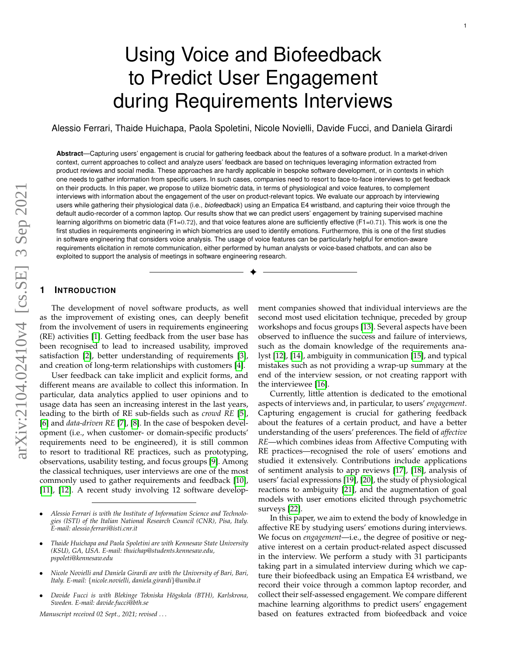# Using Voice and Biofeedback to Predict User Engagement during Requirements Interviews

Alessio Ferrari, Thaide Huichapa, Paola Spoletini, Nicole Novielli, Davide Fucci, and Daniela Girardi

**Abstract**—Capturing users' engagement is crucial for gathering feedback about the features of a software product. In a market-driven context, current approaches to collect and analyze users' feedback are based on techniques leveraging information extracted from product reviews and social media. These approaches are hardly applicable in bespoke software development, or in contexts in which one needs to gather information from specific users. In such cases, companies need to resort to face-to-face interviews to get feedback on their products. In this paper, we propose to utilize biometric data, in terms of physiological and voice features, to complement interviews with information about the engagement of the user on product-relevant topics. We evaluate our approach by interviewing users while gathering their physiological data (i.e., *biofeedback*) using an Empatica E4 wristband, and capturing their voice through the default audio-recorder of a common laptop. Our results show that we can predict users' engagement by training supervised machine learning algorithms on biometric data (F1=0.72), and that voice features alone are sufficiently effective (F1=0.71). This work is one the first studies in requirements engineering in which biometrics are used to identify emotions. Furthermore, this is one of the first studies in software engineering that considers voice analysis. The usage of voice features can be particularly helpful for emotion-aware requirements elicitation in remote communication, either performed by human analysts or voice-based chatbots, and can also be exploited to support the analysis of meetings in software engineering research.

✦

# **1 INTRODUCTION**

The development of novel software products, as well as the improvement of existing ones, can deeply benefit from the involvement of users in requirements engineering (RE) activities [\[1\]](#page-14-0). Getting feedback from the user base has been recognised to lead to increased usability, improved satisfaction [\[2\]](#page-14-1), better understanding of requirements [\[3\]](#page-14-2), and creation of long-term relationships with customers [\[4\]](#page-14-3).

User feedback can take implicit and explicit forms, and different means are available to collect this information. In particular, data analytics applied to user opinions and to usage data has seen an increasing interest in the last years, leading to the birth of RE sub-fields such as *crowd RE* [\[5\]](#page-14-4), [\[6\]](#page-14-5) and *data-driven RE* [\[7\]](#page-14-6), [\[8\]](#page-14-7). In the case of bespoken development (i.e., when customer- or domain-specific products' requirements need to be engineered), it is still common to resort to traditional RE practices, such as prototyping, observations, usability testing, and focus groups [\[9\]](#page-14-8). Among the classical techniques, user interviews are one of the most commonly used to gather requirements and feedback [\[10\]](#page-14-9), [\[11\]](#page-14-10), [\[12\]](#page-14-11). A recent study involving 12 software develop-

- *Alessio Ferrari is with the Institute of Information Science and Technologies (ISTI) of the Italian National Research Council (CNR), Pisa, Italy. E-mail: alessio.ferrari@isti.cnr.it*
- *Thaide Huichapa and Paola Spoletini are with Kennesaw State University (KSU), GA, USA. E-mail: thuichap@students.kennesaw.edu, pspoleti@kennesaw.edu*
- *Nicole Novielli and Daniela Girardi are with the University of Bari, Bari, Italy. E-mail:* {*nicole.novielli, daniela.girardi*}*@uniba.it*
- *Davide Fucci is with Blekinge Tekniska H¨ogskola (BTH), Karlskrona, Sweden. E-mail: davide.fucci@bth.se*

*Manuscript received 02 Sept., 2021; revised . . .*

ment companies showed that individual interviews are the second most used elicitation technique, preceded by group workshops and focus groups [\[13\]](#page-14-12). Several aspects have been observed to influence the success and failure of interviews, such as the domain knowledge of the requirements analyst [\[12\]](#page-14-11), [\[14\]](#page-14-13), ambiguity in communication [\[15\]](#page-14-14), and typical mistakes such as not providing a wrap-up summary at the end of the interview session, or not creating rapport with the interviewee [\[16\]](#page-14-15).

Currently, little attention is dedicated to the emotional aspects of interviews and, in particular, to users' *engagement*. Capturing engagement is crucial for gathering feedback about the features of a certain product, and have a better understanding of the users' preferences. The field of *affective RE*—which combines ideas from Affective Computing with RE practices—recognised the role of users' emotions and studied it extensively. Contributions include applications of sentiment analysis to app reviews [\[17\]](#page-14-16), [\[18\]](#page-14-17), analysis of users' facial expressions [\[19\]](#page-14-18), [\[20\]](#page-14-19), the study of physiological reactions to ambiguity [\[21\]](#page-14-20), and the augmentation of goal models with user emotions elicited through psychometric surveys [\[22\]](#page-14-21).

In this paper, we aim to extend the body of knowledge in affective RE by studying users' emotions during interviews. We focus on *engagement*—i.e., the degree of positive or negative interest on a certain product-related aspect discussed in the interview. We perform a study with 31 participants taking part in a simulated interview during which we capture their biofeedback using an Empatica E4 wristband, we record their voice through a common laptop recorder, and collect their self-assessed engagement. We compare different machine learning algorithms to predict users' engagement based on features extracted from biofeedback and voice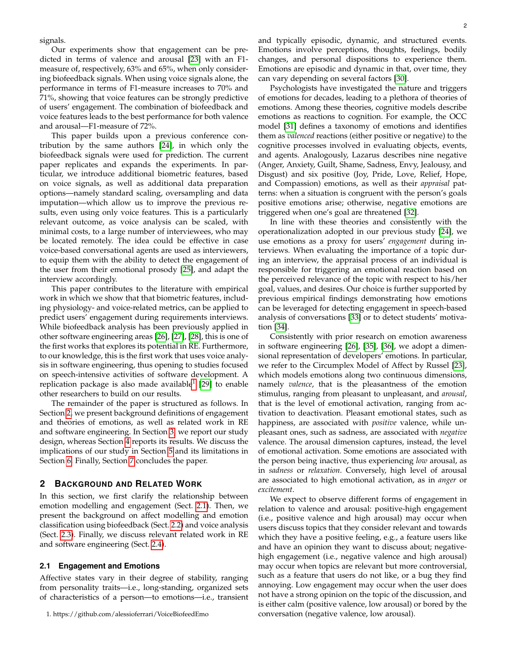signals.

Our experiments show that engagement can be predicted in terms of valence and arousal [\[23\]](#page-14-22) with an F1 measure of, respectively, 63% and 65%, when only considering biofeedback signals. When using voice signals alone, the performance in terms of F1-measure increases to 70% and 71%, showing that voice features can be strongly predictive of users' engagement. The combination of biofeedback and voice features leads to the best performance for both valence and arousal—F1-measure of 72%.

This paper builds upon a previous conference contribution by the same authors [\[24\]](#page-14-23), in which only the biofeedback signals were used for prediction. The current paper replicates and expands the experiments. In particular, we introduce additional biometric features, based on voice signals, as well as additional data preparation options—namely standard scaling, oversampling and data imputation—which allow us to improve the previous results, even using only voice features. This is a particularly relevant outcome, as voice analysis can be scaled, with minimal costs, to a large number of interviewees, who may be located remotely. The idea could be effective in case voice-based conversational agents are used as interviewers, to equip them with the ability to detect the engagement of the user from their emotional prosody [\[25\]](#page-14-24), and adapt the interview accordingly.

This paper contributes to the literature with empirical work in which we show that that biometric features, including physiology- and voice-related metrics, can be applied to predict users' engagement during requirements interviews. While biofeedback analysis has been previously applied in other software engineering areas [\[26\]](#page-15-0), [\[27\]](#page-15-1), [\[28\]](#page-15-2), this is one of the first works that explores its potential in RE. Furthermore, to our knowledge, this is the first work that uses voice analysis in software engineering, thus opening to studies focused on speech-intensive activities of software development. A replication package is also made available<sup>[1](#page-1-0)</sup> [\[29\]](#page-15-3) to enable other researchers to build on our results.

The remainder of the paper is structured as follows. In Section [2,](#page-1-1) we present background definitions of engagement and theories of emotions, as well as related work in RE and software engineering. In Section [3,](#page-3-0) we report our study design, whereas Section [4](#page-7-0) reports its results. We discuss the implications of our study in Section [5](#page-11-0) and its limitations in Section [6.](#page-13-0) Finally, Section [7](#page-14-25) concludes the paper.

# <span id="page-1-1"></span>**2 BACKGROUND AND RELATED WORK**

In this section, we first clarify the relationship between emotion modelling and engagement (Sect. [2.1\)](#page-1-2). Then, we present the background on affect modelling and emotion classification using biofeedback (Sect. [2.2\)](#page-2-0) and voice analysis (Sect. [2.3\)](#page-2-1). Finally, we discuss relevant related work in RE and software engineering (Sect. [2.4\)](#page-2-2).

#### <span id="page-1-2"></span>**2.1 Engagement and Emotions**

Affective states vary in their degree of stability, ranging from personality traits—i.e., long-standing, organized sets of characteristics of a person—to emotions—i.e., transient

and typically episodic, dynamic, and structured events. Emotions involve perceptions, thoughts, feelings, bodily changes, and personal dispositions to experience them. Emotions are episodic and dynamic in that, over time, they can vary depending on several factors [\[30\]](#page-15-4).

Psychologists have investigated the nature and triggers of emotions for decades, leading to a plethora of theories of emotions. Among these theories, cognitive models describe emotions as reactions to cognition. For example, the OCC model [\[31\]](#page-15-5) defines a taxonomy of emotions and identifies them as *valenced* reactions (either positive or negative) to the cognitive processes involved in evaluating objects, events, and agents. Analogously, Lazarus describes nine negative (Anger, Anxiety, Guilt, Shame, Sadness, Envy, Jealousy, and Disgust) and six positive (Joy, Pride, Love, Relief, Hope, and Compassion) emotions, as well as their *appraisal* patterns: when a situation is congruent with the person's goals positive emotions arise; otherwise, negative emotions are triggered when one's goal are threatened [\[32\]](#page-15-6).

In line with these theories and consistently with the operationalization adopted in our previous study [\[24\]](#page-14-23), we use emotions as a proxy for users' *engagement* during interviews. When evaluating the importance of a topic during an interview, the appraisal process of an individual is responsible for triggering an emotional reaction based on the perceived relevance of the topic with respect to his/her goal, values, and desires. Our choice is further supported by previous empirical findings demonstrating how emotions can be leveraged for detecting engagement in speech-based analysis of conversations [\[33\]](#page-15-7) or to detect students' motivation [\[34\]](#page-15-8).

Consistently with prior research on emotion awareness in software engineering [\[26\]](#page-15-0), [\[35\]](#page-15-9), [\[36\]](#page-15-10), we adopt a dimensional representation of developers' emotions. In particular, we refer to the Circumplex Model of Affect by Russel [\[23\]](#page-14-22), which models emotions along two continuous dimensions, namely *valence*, that is the pleasantness of the emotion stimulus, ranging from pleasant to unpleasant, and *arousal*, that is the level of emotional activation, ranging from activation to deactivation. Pleasant emotional states, such as happiness, are associated with *positive* valence, while unpleasant ones, such as sadness, are associated with *negative* valence. The arousal dimension captures, instead, the level of emotional activation. Some emotions are associated with the person being inactive, thus experiencing *low* arousal, as in *sadness* or *relaxation*. Conversely, high level of arousal are associated to high emotional activation, as in *anger* or *excitement*.

We expect to observe different forms of engagement in relation to valence and arousal: positive-high engagement (i.e., positive valence and high arousal) may occur when users discuss topics that they consider relevant and towards which they have a positive feeling, e.g., a feature users like and have an opinion they want to discuss about; negativehigh engagement (i.e., negative valence and high arousal) may occur when topics are relevant but more controversial, such as a feature that users do not like, or a bug they find annoying. Low engagement may occur when the user does not have a strong opinion on the topic of the discussion, and is either calm (positive valence, low arousal) or bored by the conversation (negative valence, low arousal).

<span id="page-1-0"></span><sup>1.</sup> https://github.com/alessioferrari/VoiceBiofeedEmo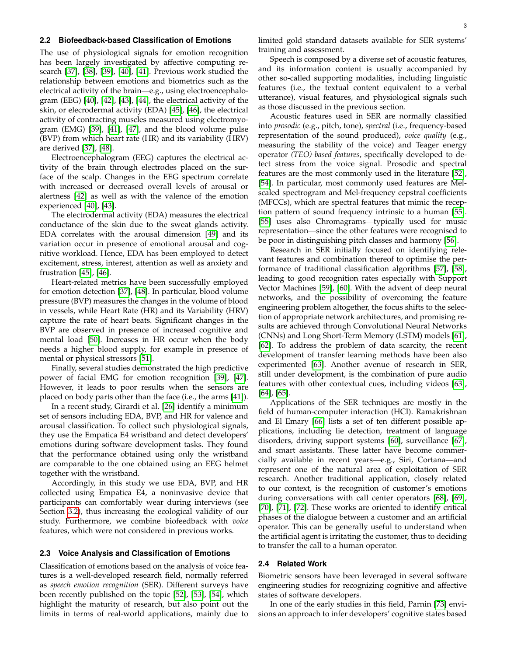# <span id="page-2-0"></span>**2.2 Biofeedback-based Classification of Emotions**

The use of physiological signals for emotion recognition has been largely investigated by affective computing research [\[37\]](#page-15-11), [\[38\]](#page-15-12), [\[39\]](#page-15-13), [\[40\]](#page-15-14), [\[41\]](#page-15-15). Previous work studied the relationship between emotions and biometrics such as the electrical activity of the brain—e.g., using electroencephalogram (EEG) [\[40\]](#page-15-14), [\[42\]](#page-15-16), [\[43\]](#page-15-17), [\[44\]](#page-15-18), the electrical activity of the skin, or elecrodermal activity (EDA) [\[45\]](#page-15-19), [\[46\]](#page-15-20), the electrical activity of contracting muscles measured using electromyogram (EMG) [\[39\]](#page-15-13), [\[41\]](#page-15-15), [\[47\]](#page-15-21), and the blood volume pulse (BVP) from which heart rate (HR) and its variability (HRV) are derived [\[37\]](#page-15-11), [\[48\]](#page-15-22).

Electroencephalogram (EEG) captures the electrical activity of the brain through electrodes placed on the surface of the scalp. Changes in the EEG spectrum correlate with increased or decreased overall levels of arousal or alertness [\[42\]](#page-15-16) as well as with the valence of the emotion experienced [\[40\]](#page-15-14), [\[43\]](#page-15-17).

The electrodermal activity (EDA) measures the electrical conductance of the skin due to the sweat glands activity. EDA correlates with the arousal dimension [\[49\]](#page-15-23) and its variation occur in presence of emotional arousal and cognitive workload. Hence, EDA has been employed to detect excitement, stress, interest, attention as well as anxiety and frustration [\[45\]](#page-15-19), [\[46\]](#page-15-20).

Heart-related metrics have been successfully employed for emotion detection [\[37\]](#page-15-11), [\[48\]](#page-15-22). In particular, blood volume pressure (BVP) measures the changes in the volume of blood in vessels, while Heart Rate (HR) and its Variability (HRV) capture the rate of heart beats. Significant changes in the BVP are observed in presence of increased cognitive and mental load [\[50\]](#page-15-24). Increases in HR occur when the body needs a higher blood supply, for example in presence of mental or physical stressors [\[51\]](#page-15-25).

Finally, several studies demonstrated the high predictive power of facial EMG for emotion recognition [\[39\]](#page-15-13), [\[47\]](#page-15-21). However, it leads to poor results when the sensors are placed on body parts other than the face (i.e., the arms [\[41\]](#page-15-15)).

In a recent study, Girardi et al. [\[26\]](#page-15-0) identify a minimum set of sensors including EDA, BVP, and HR for valence and arousal classification. To collect such physiological signals, they use the Empatica E4 wristband and detect developers' emotions during software development tasks. They found that the performance obtained using only the wristband are comparable to the one obtained using an EEG helmet together with the wristband.

Accordingly, in this study we use EDA, BVP, and HR collected using Empatica E4, a noninvasive device that participants can comfortably wear during interviews (see Section [3.2\)](#page-4-0), thus increasing the ecological validity of our study. Furthermore, we combine biofeedback with *voice* features, which were not considered in previous works.

# <span id="page-2-1"></span>**2.3 Voice Analysis and Classification of Emotions**

Classification of emotions based on the analysis of voice features is a well-developed research field, normally referred as *speech emotion recognition* (SER). Different surveys have been recently published on the topic [\[52\]](#page-15-26), [\[53\]](#page-15-27), [\[54\]](#page-15-28), which highlight the maturity of research, but also point out the limits in terms of real-world applications, mainly due to limited gold standard datasets available for SER systems' training and assessment.

Speech is composed by a diverse set of acoustic features, and its information content is usually accompanied by other so-called supporting modalities, including linguistic features (i.e., the textual content equivalent to a verbal utterance), visual features, and physiological signals such as those discussed in the previous section.

Acoustic features used in SER are normally classified into *prosodic* (e.g., pitch, tone), *spectral* (i.e., frequency-based representation of the sound produced), *voice quality* (e.g., measuring the stability of the voice) and Teager energy operator *(TEO)-based features*, specifically developed to detect stress from the voice signal. Prosodic and spectral features are the most commonly used in the literature [\[52\]](#page-15-26), [\[54\]](#page-15-28). In particular, most commonly used features are Melscaled spectrogram and Mel-frequency cepstral coefficients (MFCCs), which are spectral features that mimic the reception pattern of sound frequency intrinsic to a human [\[55\]](#page-15-29). [\[55\]](#page-15-29) uses also Chromagrams—typically used for music representation—since the other features were recognised to be poor in distinguishing pitch classes and harmony [\[56\]](#page-15-30).

Research in SER initially focused on identifying relevant features and combination thereof to optimise the performance of traditional classification algorithms [\[57\]](#page-15-31), [\[58\]](#page-15-32), leading to good recognition rates especially with Support Vector Machines [\[59\]](#page-15-33), [\[60\]](#page-15-34). With the advent of deep neural networks, and the possibility of overcoming the feature engineering problem altogether, the focus shifts to the selection of appropriate network architectures, and promising results are achieved through Convolutional Neural Networks (CNNs) and Long Short-Term Memory (LSTM) models [\[61\]](#page-15-35), [\[62\]](#page-15-36). To address the problem of data scarcity, the recent development of transfer learning methods have been also experimented [\[63\]](#page-15-37). Another avenue of research in SER, still under development, is the combination of pure audio features with other contextual cues, including videos [\[63\]](#page-15-37), [\[64\]](#page-15-38), [\[65\]](#page-16-0).

Applications of the SER techniques are mostly in the field of human-computer interaction (HCI). Ramakrishnan and El Emary [\[66\]](#page-16-1) lists a set of ten different possible applications, including lie detection, treatment of language disorders, driving support systems [\[60\]](#page-15-34), surveillance [\[67\]](#page-16-2), and smart assistants. These latter have become commercially available in recent years—e.g., Siri, Cortana—and represent one of the natural area of exploitation of SER research. Another traditional application, closely related to our context, is the recognition of customer's emotions during conversations with call center operators [\[68\]](#page-16-3), [\[69\]](#page-16-4), [\[70\]](#page-16-5), [\[71\]](#page-16-6), [\[72\]](#page-16-7). These works are oriented to identify critical phases of the dialogue between a customer and an artificial operator. This can be generally useful to understand when the artificial agent is irritating the customer, thus to deciding to transfer the call to a human operator.

# <span id="page-2-2"></span>**2.4 Related Work**

Biometric sensors have been leveraged in several software engineering studies for recognizing cognitive and affective states of software developers.

In one of the early studies in this field, Parnin [\[73\]](#page-16-8) envisions an approach to infer developers' cognitive states based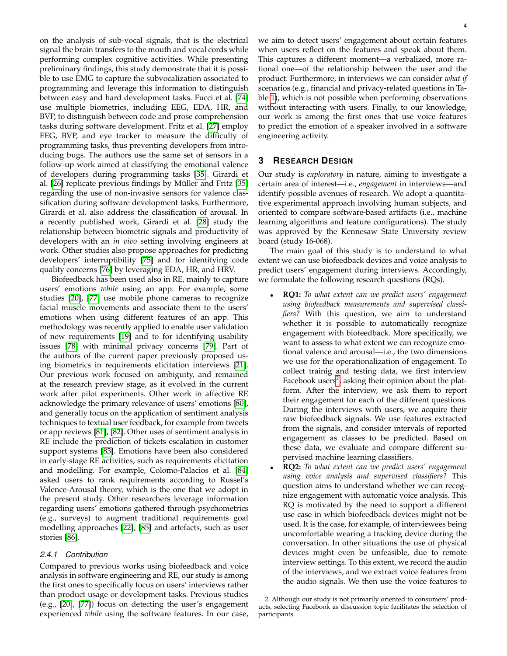on the analysis of sub-vocal signals, that is the electrical signal the brain transfers to the mouth and vocal cords while performing complex cognitive activities. While presenting preliminary findings, this study demonstrate that it is possible to use EMG to capture the subvocalization associated to programming and leverage this information to distinguish between easy and hard development tasks. Fucci et al. [\[74\]](#page-16-9) use multiple biometrics, including EEG, EDA, HR, and BVP, to distinguish between code and prose comprehension tasks during software development. Fritz et al. [\[27\]](#page-15-1) employ EEG, BVP, and eye tracker to measure the difficulty of programming tasks, thus preventing developers from introducing bugs. The authors use the same set of sensors in a follow-up work aimed at classifying the emotional valence of developers during programming tasks [\[35\]](#page-15-9). Girardi et al. [\[26\]](#page-15-0) replicate previous findings by Müller and Fritz [\[35\]](#page-15-9) regarding the use of non-invasive sensors for valence classification during software development tasks. Furthermore, Girardi et al. also address the classification of arousal. In a recently published work, Girardi et al. [\[28\]](#page-15-2) study the relationship between biometric signals and productivity of developers with an *in vivo* setting involving engineers at work. Other studies also propose approaches for predicting developers' interruptibility [\[75\]](#page-16-10) and for identifying code quality concerns [\[76\]](#page-16-11) by leveraging EDA, HR, and HRV.

Biofeedback has been used also in RE, mainly to capture users' emotions *while* using an app. For example, some studies [\[20\]](#page-14-19), [\[77\]](#page-16-12) use mobile phone cameras to recognize facial muscle movements and associate them to the users' emotions when using different features of an app. This methodology was recently applied to enable user validation of new requirements [\[19\]](#page-14-18) and to for identifying usability issues [\[78\]](#page-16-13) with minimal privacy concerns [\[79\]](#page-16-14). Part of the authors of the current paper previously proposed using biometrics in requirements elicitation interviews [\[21\]](#page-14-20). Our previous work focused on ambiguity, and remained at the research preview stage, as it evolved in the current work after pilot experiments. Other work in affective RE acknowledge the primary relevance of users' emotions [\[80\]](#page-16-15), and generally focus on the application of sentiment analysis techniques to textual user feedback, for example from tweets or app reviews [\[81\]](#page-16-16), [\[82\]](#page-16-17). Other uses of sentiment analysis in RE include the prediction of tickets escalation in customer support systems [\[83\]](#page-16-18). Emotions have been also considered in early-stage RE activities, such as requirements elicitation and modelling. For example, Colomo-Palacios et al. [\[84\]](#page-16-19) asked users to rank requirements according to Russel's Valence-Arousal theory, which is the one that we adopt in the present study. Other researchers leverage information regarding users' emotions gathered through psychometrics (e.g., surveys) to augment traditional requirements goal modelling approaches [\[22\]](#page-14-21), [\[85\]](#page-16-20) and artefacts, such as user stories [\[86\]](#page-16-21).

# *2.4.1 Contribution*

Compared to previous works using biofeedback and voice analysis in software engineering and RE, our study is among the first ones to specifically focus on users' interviews rather than product usage or development tasks. Previous studies (e.g., [\[20\]](#page-14-19), [\[77\]](#page-16-12)) focus on detecting the user's engagement experienced *while* using the software features. In our case,

we aim to detect users' engagement about certain features when users reflect on the features and speak about them. This captures a different moment—a verbalized, more rational one—of the relationship between the user and the product. Furthermore, in interviews we can consider *what if* scenarios (e.g., financial and privacy-related questions in Table [1\)](#page-6-0), which is not possible when performing observations without interacting with users. Finally, to our knowledge, our work is among the first ones that use voice features to predict the emotion of a speaker involved in a software engineering activity.

# <span id="page-3-0"></span>**3 RESEARCH DESIGN**

Our study is *exploratory* in nature, aiming to investigate a certain area of interest—i.e., *engagement* in interviews—and identify possible avenues of research. We adopt a quantitative experimental approach involving human subjects, and oriented to compare software-based artifacts (i.e., machine learning algorithms and feature configurations). The study was approved by the Kennesaw State University review board (study 16-068).

The main goal of this study is to understand to what extent we can use biofeedback devices and voice analysis to predict users' engagement during interviews. Accordingly, we formulate the following research questions (RQs).

- **RQ1:** *To what extent can we predict users' engagement using biofeedback measurements and supervised classifiers?* With this question, we aim to understand whether it is possible to automatically recognize engagement with biofeedback. More specifically, we want to assess to what extent we can recognize emotional valence and arousal—i.e., the two dimensions we use for the operationalization of engagement. To collect trainig and testing data, we first interview Facebook users<sup>[2](#page-3-1)</sup>, asking their opinion about the platform. After the interview, we ask them to report their engagement for each of the different questions. During the interviews with users, we acquire their raw biofeedback signals. We use features extracted from the signals, and consider intervals of reported engagement as classes to be predicted. Based on these data, we evaluate and compare different supervised machine learning classifiers.
- **RQ2:** *To what extent can we predict users' engagement using voice analysis and supervised classifiers?* This question aims to understand whether we can recognize engagement with automatic voice analysis. This RQ is motivated by the need to support a different use case in which biofeedback devices might not be used. It is the case, for example, of interviewees being uncomfortable wearing a tracking device during the conversation. In other situations the use of physical devices might even be unfeasible, due to remote interview settings. To this extent, we record the audio of the interviews, and we extract voice features from the audio signals. We then use the voice features to

<span id="page-3-1"></span><sup>2.</sup> Although our study is not primarily oriented to consumers' products, selecting Facebook as discussion topic facilitates the selection of participants.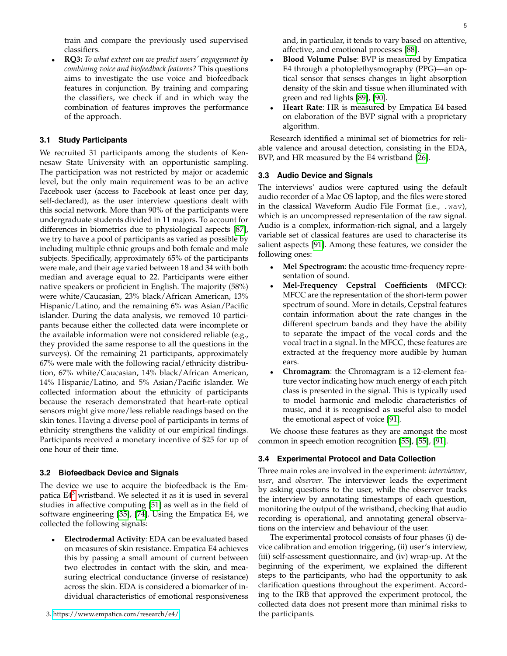train and compare the previously used supervised classifiers.

• **RQ3:** *To what extent can we predict users' engagement by combining voice and biofeedback features?* This questions aims to investigate the use voice and biofeedback features in conjunction. By training and comparing the classifiers, we check if and in which way the combination of features improves the performance of the approach.

# **3.1 Study Participants**

We recruited 31 participants among the students of Kennesaw State University with an opportunistic sampling. The participation was not restricted by major or academic level, but the only main requirement was to be an active Facebook user (access to Facebook at least once per day, self-declared), as the user interview questions dealt with this social network. More than 90% of the participants were undergraduate students divided in 11 majors. To account for differences in biometrics due to physiological aspects [\[87\]](#page-16-22), we try to have a pool of participants as varied as possible by including multiple ethnic groups and both female and male subjects. Specifically, approximately 65% of the participants were male, and their age varied between 18 and 34 with both median and average equal to 22. Participants were either native speakers or proficient in English. The majority (58%) were white/Caucasian, 23% black/African American, 13% Hispanic/Latino, and the remaining 6% was Asian/Pacific islander. During the data analysis, we removed 10 participants because either the collected data were incomplete or the available information were not considered reliable (e.g., they provided the same response to all the questions in the surveys). Of the remaining 21 participants, approximately 67% were male with the following racial/ethnicity distribution, 67% white/Caucasian, 14% black/African American, 14% Hispanic/Latino, and 5% Asian/Pacific islander. We collected information about the ethnicity of participants because the reserach demonstrated that heart-rate optical sensors might give more/less reliable readings based on the skin tones. Having a diverse pool of participants in terms of ethnicity strengthens the validity of our empirical findings. Participants received a monetary incentive of \$25 for up of one hour of their time.

## <span id="page-4-0"></span>**3.2 Biofeedback Device and Signals**

The device we use to acquire the biofeedback is the Empatica  $E4<sup>3</sup>$  $E4<sup>3</sup>$  $E4<sup>3</sup>$  wristband. We selected it as it is used in several studies in affective computing [\[51\]](#page-15-25) as well as in the field of software engineering [\[35\]](#page-15-9), [\[74\]](#page-16-9). Using the Empatica E4, we collected the following signals:

<span id="page-4-1"></span>• **Electrodermal Activity**: EDA can be evaluated based on measures of skin resistance. Empatica E4 achieves this by passing a small amount of current between two electrodes in contact with the skin, and measuring electrical conductance (inverse of resistance) across the skin. EDA is considered a biomarker of individual characteristics of emotional responsiveness and, in particular, it tends to vary based on attentive, affective, and emotional processes [\[88\]](#page-16-23).

- **Blood Volume Pulse**: BVP is measured by Empatica E4 through a photoplethysmography (PPG)—an optical sensor that senses changes in light absorption density of the skin and tissue when illuminated with green and red lights [\[89\]](#page-16-24), [\[90\]](#page-16-25).
- **Heart Rate**: HR is measured by Empatica E4 based on elaboration of the BVP signal with a proprietary algorithm.

Research identified a minimal set of biometrics for reliable valence and arousal detection, consisting in the EDA, BVP, and HR measured by the E4 wristband [\[26\]](#page-15-0).

## **3.3 Audio Device and Signals**

The interviews' audios were captured using the default audio recorder of a Mac OS laptop, and the files were stored in the classical Waveform Audio File Format (i.e., .wav), which is an uncompressed representation of the raw signal. Audio is a complex, information-rich signal, and a largely variable set of classical features are used to characterise its salient aspects [\[91\]](#page-16-26). Among these features, we consider the following ones:

- **Mel Spectrogram**: the acoustic time-frequency representation of sound.
- **Mel-Frequency Cepstral Coefficients (MFCC)**: MFCC are the representation of the short-term power spectrum of sound. More in details, Cepstral features contain information about the rate changes in the different spectrum bands and they have the ability to separate the impact of the vocal cords and the vocal tract in a signal. In the MFCC, these features are extracted at the frequency more audible by human ears.
- **Chromagram**: the Chromagram is a 12-element feature vector indicating how much energy of each pitch class is presented in the signal. This is typically used to model harmonic and melodic characteristics of music, and it is recognised as useful also to model the emotional aspect of voice [\[91\]](#page-16-26).

We choose these features as they are amongst the most common in speech emotion recognition [\[55\]](#page-15-29), [\[55\]](#page-15-29), [\[91\]](#page-16-26).

# **3.4 Experimental Protocol and Data Collection**

Three main roles are involved in the experiment: *interviewer*, *user*, and *observer*. The interviewer leads the experiment by asking questions to the user, while the observer tracks the interview by annotating timestamps of each question, monitoring the output of the wristband, checking that audio recording is operational, and annotating general observations on the interview and behaviour of the user.

The experimental protocol consists of four phases (i) device calibration and emotion triggering, (ii) user's interview, (iii) self-assessment questionnaire, and (iv) wrap-up. At the beginning of the experiment, we explained the different steps to the participants, who had the opportunity to ask clarification questions throughout the experiment. According to the IRB that approved the experiment protocol, the collected data does not present more than minimal risks to the participants.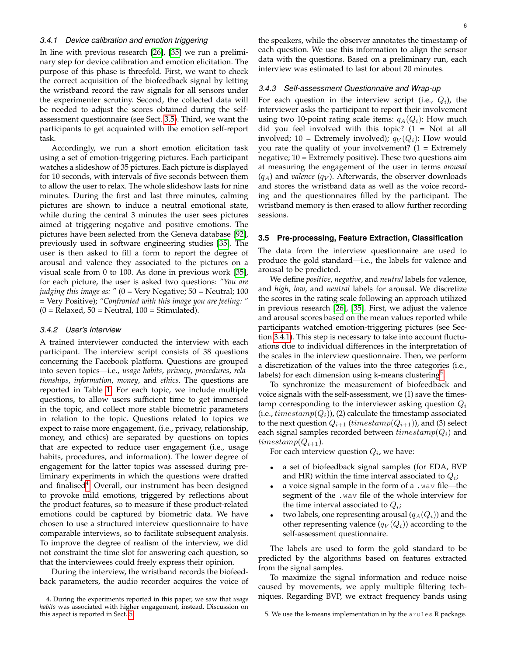#### <span id="page-5-2"></span>*3.4.1 Device calibration and emotion triggering*

In line with previous research [\[26\]](#page-15-0), [\[35\]](#page-15-9) we run a preliminary step for device calibration and emotion elicitation. The purpose of this phase is threefold. First, we want to check the correct acquisition of the biofeedback signal by letting the wristband record the raw signals for all sensors under the experimenter scrutiny. Second, the collected data will be needed to adjust the scores obtained during the selfassessment questionnaire (see Sect. [3.5\)](#page-5-0). Third, we want the participants to get acquainted with the emotion self-report task.

Accordingly, we run a short emotion elicitation task using a set of emotion-triggering pictures. Each participant watches a slideshow of 35 pictures. Each picture is displayed for 10 seconds, with intervals of five seconds between them to allow the user to relax. The whole slideshow lasts for nine minutes. During the first and last three minutes, calming pictures are shown to induce a neutral emotional state, while during the central 3 minutes the user sees pictures aimed at triggering negative and positive emotions. The pictures have been selected from the Geneva database [\[92\]](#page-16-27), previously used in software engineering studies [\[35\]](#page-15-9). The user is then asked to fill a form to report the degree of arousal and valence they associated to the pictures on a visual scale from 0 to 100. As done in previous work [\[35\]](#page-15-9), for each picture, the user is asked two questions: *"You are judging this image as: "* (0 = Very Negative; 50 = Neutral; 100 = Very Positive); *"Confronted with this image you are feeling: "*  $(0 = Relaxed, 50 = Neutral, 100 = Stimulated).$ 

# *3.4.2 User's Interview*

A trained interviewer conducted the interview with each participant. The interview script consists of 38 questions concerning the Facebook platform. Questions are grouped into seven topics—i.e., *usage habits*, *privacy*, *procedures*, *relationships*, *information*, *money*, and *ethics*. The questions are reported in Table [1.](#page-6-0) For each topic, we include multiple questions, to allow users sufficient time to get immersed in the topic, and collect more stable biometric parameters in relation to the topic. Questions related to topics we expect to raise more engagement, (i.e., privacy, relationship, money, and ethics) are separated by questions on topics that are expected to reduce user engagement (i.e., usage habits, procedures, and information). The lower degree of engagement for the latter topics was assessed during preliminary experiments in which the questions were drafted and finalised<sup>[4](#page-5-1)</sup>. Overall, our instrument has been designed to provoke mild emotions, triggered by reflections about the product features, so to measure if these product-related emotions could be captured by biometric data. We have chosen to use a structured interview questionnaire to have comparable interviews, so to facilitate subsequent analysis. To improve the degree of realism of the interview, we did not constraint the time slot for answering each question, so that the interviewees could freely express their opinion.

During the interview, the wristband records the biofeedback parameters, the audio recorder acquires the voice of the speakers, while the observer annotates the timestamp of each question. We use this information to align the sensor data with the questions. Based on a preliminary run, each interview was estimated to last for about 20 minutes.

#### *3.4.3 Self-assessment Questionnaire and Wrap-up*

For each question in the interview script (i.e.,  $Q_i$ ), the interviewer asks the participant to report their involvement using two 10-point rating scale items:  $q_A(Q_i)$ : How much did you feel involved with this topic? (1 = Not at all involved; 10 = Extremely involved);  $q_V(Q_i)$ : How would you rate the quality of your involvement?  $(1 =$  Extremely negative; 10 = Extremely positive). These two questions aim at measuring the engagement of the user in terms *arousal*  $(q_A)$  and *valence*  $(q_V)$ . Afterwards, the observer downloads and stores the wristband data as well as the voice recording and the questionnaires filled by the participant. The wristband memory is then erased to allow further recording sessions.

## <span id="page-5-0"></span>**3.5 Pre-processing, Feature Extraction, Classification**

The data from the interview questionnaire are used to produce the gold standard—i.e., the labels for valence and arousal to be predicted.

We define *positive*, *negative*, and *neutral* labels for valence, and *high*, *low*, and *neutral* labels for arousal. We discretize the scores in the rating scale following an approach utilized in previous research [\[26\]](#page-15-0), [\[35\]](#page-15-9). First, we adjust the valence and arousal scores based on the mean values reported while participants watched emotion-triggering pictures (see Section [3.4.1\)](#page-5-2). This step is necessary to take into account fluctuations due to individual differences in the interpretation of the scales in the interview questionnaire. Then, we perform a discretization of the values into the three categories (i.e., labels) for each dimension using k-means clustering $^5$  $^5$ .

To synchronize the measurement of biofeedback and voice signals with the self-assessment, we (1) save the timestamp corresponding to the interviewer asking question  $Q_i$ (i.e.,  $timestamp(Q_i)$ ), (2) calculate the timestamp associated to the next question  $Q_{i+1}$  (timestamp( $Q_{i+1}$ )), and (3) select each signal samples recorded between  $timestamp(Q_i)$  and  $timestamp(Q_{i+1}).$ 

For each interview question  $Q_i$ , we have:

- a set of biofeedback signal samples (for EDA, BVP and HR) within the time interval associated to  $Q_i$ ;
- a voice signal sample in the form of a . way file—the segment of the .wav file of the whole interview for the time interval associated to  $Q_i$ ;
- two labels, one representing arousal  $(q_A(Q_i))$  and the other representing valence  $(q_V(Q_i))$  according to the self-assessment questionnaire.

The labels are used to form the gold standard to be predicted by the algorithms based on features extracted from the signal samples.

To maximize the signal information and reduce noise caused by movements, we apply multiple filtering techniques. Regarding BVP, we extract frequency bands using

<span id="page-5-1"></span><sup>4.</sup> During the experiments reported in this paper, we saw that *usage habits* was associated with higher engagement, instead. Discussion on this aspect is reported in Sect. [5.](#page-11-0)

<span id="page-5-3"></span><sup>5.</sup> We use the k-means implementation in by the arules R package.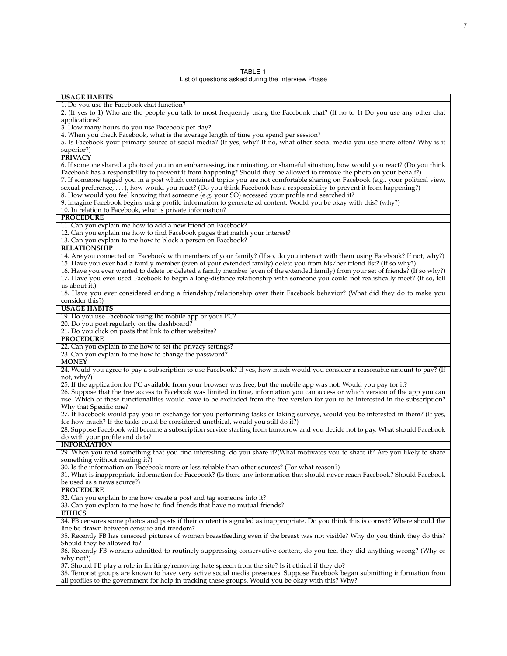| TABI F |  |
|--------|--|
|--------|--|

List of questions asked during the Interview Phase

<span id="page-6-0"></span>

| 1. Do you use the Facebook chat function?                                                                                                                                                                                            |
|--------------------------------------------------------------------------------------------------------------------------------------------------------------------------------------------------------------------------------------|
| 2. (If yes to 1) Who are the people you talk to most frequently using the Facebook chat? (If no to 1) Do you use any other chat                                                                                                      |
| applications?                                                                                                                                                                                                                        |
| 3. How many hours do you use Facebook per day?                                                                                                                                                                                       |
| 4. When you check Facebook, what is the average length of time you spend per session?                                                                                                                                                |
| 5. Is Facebook your primary source of social media? (If yes, why? If no, what other social media you use more often? Why is it                                                                                                       |
| superior?)                                                                                                                                                                                                                           |
| <b>PRIVACY</b>                                                                                                                                                                                                                       |
| 6. If someone shared a photo of you in an embarrassing, incriminating, or shameful situation, how would you react? (Do you think                                                                                                     |
| Facebook has a responsibility to prevent it from happening? Should they be allowed to remove the photo on your behalf?)                                                                                                              |
| 7. If someone tagged you in a post which contained topics you are not comfortable sharing on Facebook (e.g., your political view,                                                                                                    |
| sexual preference, ), how would you react? (Do you think Facebook has a responsibility to prevent it from happening?)                                                                                                                |
| 8. How would you feel knowing that someone (e.g. your SO) accessed your profile and searched it?                                                                                                                                     |
| 9. Imagine Facebook begins using profile information to generate ad content. Would you be okay with this? (why?)                                                                                                                     |
| 10. In relation to Facebook, what is private information?                                                                                                                                                                            |
| <b>PROCEDURE</b>                                                                                                                                                                                                                     |
| 11. Can you explain me how to add a new friend on Facebook?                                                                                                                                                                          |
| 12. Can you explain me how to find Facebook pages that match your interest?                                                                                                                                                          |
| 13. Can you explain to me how to block a person on Facebook?                                                                                                                                                                         |
| <b>RELATIONSHIP</b>                                                                                                                                                                                                                  |
| 14. Are you connected on Facebook with members of your family? (If so, do you interact with them using Facebook? If not, why?)                                                                                                       |
|                                                                                                                                                                                                                                      |
| 15. Have you ever had a family member (even of your extended family) delete you from his/her friend list? (If so why?)                                                                                                               |
| 16. Have you ever wanted to delete or deleted a family member (even of the extended family) from your set of friends? (If so why?)                                                                                                   |
| 17. Have you ever used Facebook to begin a long-distance relationship with someone you could not realistically meet? (If so, tell                                                                                                    |
| us about it.)                                                                                                                                                                                                                        |
| 18. Have you ever considered ending a friendship/relationship over their Facebook behavior? (What did they do to make you                                                                                                            |
| consider this?)                                                                                                                                                                                                                      |
| <b>USAGE HABITS</b>                                                                                                                                                                                                                  |
| 19. Do you use Facebook using the mobile app or your PC?                                                                                                                                                                             |
| 20. Do you post regularly on the dashboard?                                                                                                                                                                                          |
| 21. Do you click on posts that link to other websites?                                                                                                                                                                               |
| <b>PROCEDURE</b>                                                                                                                                                                                                                     |
| 22. Can you explain to me how to set the privacy settings?                                                                                                                                                                           |
| 23. Can you explain to me how to change the password?                                                                                                                                                                                |
| <b>MONEY</b>                                                                                                                                                                                                                         |
|                                                                                                                                                                                                                                      |
| 24. Would you agree to pay a subscription to use Facebook? If yes, how much would you consider a reasonable amount to pay? (If                                                                                                       |
| not, why?)                                                                                                                                                                                                                           |
| 25. If the application for PC available from your browser was free, but the mobile app was not. Would you pay for it?                                                                                                                |
| 26. Suppose that the free access to Facebook was limited in time, information you can access or which version of the app you can                                                                                                     |
| use. Which of these functionalities would have to be excluded from the free version for you to be interested in the subscription?                                                                                                    |
| Why that Specific one?                                                                                                                                                                                                               |
|                                                                                                                                                                                                                                      |
| 27. If Facebook would pay you in exchange for you performing tasks or taking surveys, would you be interested in them? (If yes,<br>for how much? If the tasks could be considered unethical, would you still do it?)                 |
|                                                                                                                                                                                                                                      |
| 28. Suppose Facebook will become a subscription service starting from tomorrow and you decide not to pay. What should Facebook<br>do with your profile and data?                                                                     |
| <b>INFORMATION</b>                                                                                                                                                                                                                   |
| 29. When you read something that you find interesting, do you share it?(What motivates you to share it? Are you likely to share                                                                                                      |
| something without reading it?)                                                                                                                                                                                                       |
|                                                                                                                                                                                                                                      |
| 30. Is the information on Facebook more or less reliable than other sources? (For what reason?)                                                                                                                                      |
| 31. What is inappropriate information for Facebook? (Is there any information that should never reach Facebook? Should Facebook                                                                                                      |
| be used as a news source?)                                                                                                                                                                                                           |
| <b>PROCEDURE</b>                                                                                                                                                                                                                     |
| 32. Can you explain to me how create a post and tag someone into it?                                                                                                                                                                 |
| 33. Can you explain to me how to find friends that have no mutual friends?                                                                                                                                                           |
| <b>ETHICS</b>                                                                                                                                                                                                                        |
| 34. FB censures some photos and posts if their content is signaled as inappropriate. Do you think this is correct? Where should the                                                                                                  |
| line be drawn between censure and freedom?                                                                                                                                                                                           |
| 35. Recently FB has censored pictures of women breastfeeding even if the breast was not visible? Why do you think they do this?                                                                                                      |
| Should they be allowed to?                                                                                                                                                                                                           |
| 36. Recently FB workers admitted to routinely suppressing conservative content, do you feel they did anything wrong? (Why or                                                                                                         |
| why not?)                                                                                                                                                                                                                            |
| 37. Should FB play a role in limiting/removing hate speech from the site? Is it ethical if they do?                                                                                                                                  |
| 38. Terrorist groups are known to have very active social media presences. Suppose Facebook began submitting information from<br>all profiles to the government for help in tracking these groups. Would you be okay with this? Why? |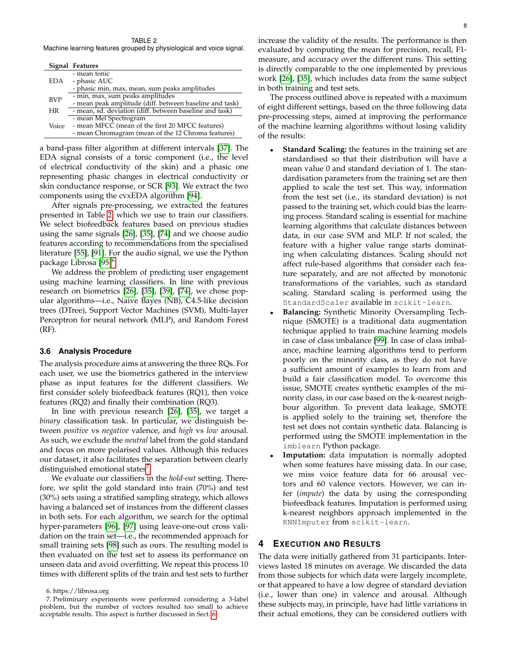#### TABLE 2

<span id="page-7-1"></span>Machine learning features grouped by physiological and voice signal.

|            | Signal Features                                         |
|------------|---------------------------------------------------------|
|            | - mean tonic                                            |
| EDA        | - phasic AUC                                            |
|            | - phasic min, max, mean, sum peaks amplitudes           |
| <b>BVP</b> | - min, max, sum peaks amplitudes                        |
|            | - mean peak amplitude (diff. between baseline and task) |
| <b>HR</b>  | - mean, sd. deviation (diff. between baseline and task) |
|            | - mean Mel Spectrogram                                  |
| Voice      | - mean MFCC (mean of the first 20 MFCC features)        |
|            | - mean Chromagram (mean of the 12 Chroma features)      |

a band-pass filter algorithm at different intervals [\[37\]](#page-15-11). The EDA signal consists of a tonic component (i.e., the level of electrical conductivity of the skin) and a phasic one representing phasic changes in electrical conductivity or skin conductance response, or SCR [\[93\]](#page-16-28). We extract the two components using the cvxEDA algorithm [\[94\]](#page-16-29).

After signals pre-processing, we extracted the features presented in Table [2,](#page-7-1) which we use to train our classifiers. We select biofeedback features based on previous studies using the same signals [\[26\]](#page-15-0), [\[35\]](#page-15-9), [\[74\]](#page-16-9) and we choose audio features according to recommendations from the specialised literature [\[55\]](#page-15-29), [\[91\]](#page-16-26). For the audio signal, we use the Python package Librosa [\[95\]](#page-16-30)<sup>[6](#page-7-2)</sup>.

We address the problem of predicting user engagement using machine learning classifiers. In line with previous research on biometrics [\[26\]](#page-15-0), [\[35\]](#page-15-9), [\[39\]](#page-15-13), [\[74\]](#page-16-9), we chose popular algorithms—i.e., Naive Bayes (NB), C4.5-like decision trees (DTree), Support Vector Machines (SVM), Multi-layer Perceptron for neural network (MLP), and Random Forest (RF).

#### <span id="page-7-4"></span>**3.6 Analysis Procedure**

The analysis procedure aims at answering the three RQs. For each user, we use the biometrics gathered in the interview phase as input features for the different classifiers. We first consider solely biofeedback features (RQ1), then voice features (RQ2) and finally their combination (RQ3).

In line with previous research [\[26\]](#page-15-0), [\[35\]](#page-15-9), we target a *binary* classification task. In particular, we distinguish between *positive* vs *negative* valence, and *high* vs *low* arousal. As such, we exclude the *neutral* label from the gold standard and focus on more polarised values. Although this reduces our dataset, it also facilitates the separation between clearly distinguished emotional states<sup>[7](#page-7-3)</sup>.

We evaluate our classifiers in the *hold-out* setting. Therefore, we split the gold standard into train (70%) and test (30%) sets using a stratified sampling strategy, which allows having a balanced set of instances from the different classes in both sets. For each algorithm, we search for the optimal hyper-parameters [\[96\]](#page-16-31), [\[97\]](#page-16-32) using leave-one-out cross validation on the train set—i.e., the recommended approach for small training sets [\[98\]](#page-16-33) such as ours. The resulting model is then evaluated on the test set to assess its performance on unseen data and avoid overfitting. We repeat this process 10 times with different splits of the train and test sets to further

increase the validity of the results. The performance is then evaluated by computing the mean for precision, recall, F1 measure, and accuracy over the different runs. This setting is directly comparable to the one implemented by previous work [\[26\]](#page-15-0), [\[35\]](#page-15-9), which includes data from the same subject in both training and test sets.

The process outlined above is repeated with a maximum of eight different settings, based on the three following data pre-processing steps, aimed at improving the performance of the machine learning algorithms without losing validity of the results:

- **Standard Scaling:** the features in the training set are standardised so that their distribution will have a mean value 0 and standard deviation of 1. The standardisation parameters from the training set are then applied to scale the test set. This way, information from the test set (i.e., its standard deviation) is not passed to the training set, which could bias the learning process. Standard scaling is essential for machine learning algorithms that calculate distances between data, in our case SVM and MLP. If not scaled, the feature with a higher value range starts dominating when calculating distances. Scaling should not affect rule-based algorithms that consider each feature separately, and are not affected by monotonic transformations of the variables, such as standard scaling. Standard scaling is performed using the StandardScaler available in scikit-learn.
- **Balancing:** Synthetic Minority Oversampling Technique (SMOTE) is a traditional data augmentation technique applied to train machine learning models in case of class imbalance [\[99\]](#page-16-34). In case of class imbalance, machine learning algorithms tend to perform poorly on the minority class, as they do not have a sufficient amount of examples to learn from and build a fair classification model. To overcome this issue, SMOTE creates synthetic examples of the minority class, in our case based on the k-nearest neighbour algorithm. To prevent data leakage, SMOTE is applied solely to the training set, therefore the test set does not contain synthetic data. Balancing is performed using the SMOTE implementation in the imblearn Python package.
- Imputation: data imputation is normally adopted when some features have missing data. In our case, we miss voice feature data for 66 arousal vectors and 60 valence vectors. However, we can infer (*impute*) the data by using the corresponding biofeedback features. Imputation is performed using k-nearest neighbors approach implemented in the KNNImputer from scikit-learn.

# <span id="page-7-0"></span>**4 EXECUTION AND RESULTS**

The data were initially gathered from 31 participants. Interviews lasted 18 minutes on average. We discarded the data from those subjects for which data were largely incomplete, or that appeared to have a low degree of standard deviation (i.e., lower than one) in valence and arousal. Although these subjects may, in principle, have had little variations in their actual emotions, they can be considered outliers with

<span id="page-7-3"></span><span id="page-7-2"></span><sup>6.</sup> https://librosa.org

<sup>7.</sup> Preliminary experiments were performed considering a 3-label problem, but the number of vectors resulted too small to achieve acceptable results. This aspect is further discussed in Sect. [6.](#page-13-0)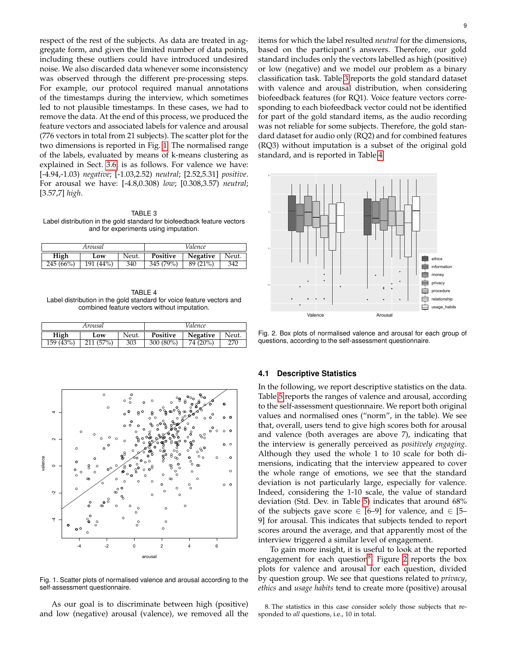respect of the rest of the subjects. As data are treated in aggregate form, and given the limited number of data points, including these outliers could have introduced undesired noise. We also discarded data whenever some inconsistency was observed through the different pre-processing steps. For example, our protocol required manual annotations of the timestamps during the interview, which sometimes led to not plausible timestamps. In these cases, we had to remove the data. At the end of this process, we produced the feature vectors and associated labels for valence and arousal (776 vectors in total from 21 subjects). The scatter plot for the two dimensions is reported in Fig. [1.](#page-8-0) The normalised range of the labels, evaluated by means of k-means clustering as explained in Sect. [3.6,](#page-7-4) is as follows. For valence we have: [-4.94,-1.03) *negative*; [-1.03,2.52) *neutral*; [2.52,5.31] *positive*. For arousal we have: [-4.8,0.308) *low*; [0.308,3.57) *neutral*; [3.57,7] *high*.

<span id="page-8-1"></span>TABLE 3 Label distribution in the gold standard for biofeedback feature vectors and for experiments using imputation.

| Arousal  |           |       | Valence                              |          |     |  |
|----------|-----------|-------|--------------------------------------|----------|-----|--|
| High     | Low       | Neut. | Neut.<br>Positive<br><b>Negative</b> |          |     |  |
| 245(66%) | 191 (44%) | 340   | 345 (79%)                            | 89 (21%) | 342 |  |

<span id="page-8-2"></span>TABLE 4 Label distribution in the gold standard for voice feature vectors and combined feature vectors without imputation.

| Arousal   |          |       | Valence     |          |       |  |
|-----------|----------|-------|-------------|----------|-------|--|
| High      | Low      | Neut. | Positive    | Negative | Neut. |  |
| 159 (43%) | 211(57%) | 303   | $300(80\%)$ | 74 (20%) | 270   |  |



<span id="page-8-0"></span>Fig. 1. Scatter plots of normalised valence and arousal according to the self-assessment questionnaire.

As our goal is to discriminate between high (positive) and low (negative) arousal (valence), we removed all the items for which the label resulted *neutral* for the dimensions, based on the participant's answers. Therefore, our gold standard includes only the vectors labelled as high (positive) or low (negative) and we model our problem as a binary classification task. Table [3](#page-8-1) reports the gold standard dataset with valence and arousal distribution, when considering biofeedback features (for RQ1). Voice feature vectors corresponding to each biofeedback vector could not be identified for part of the gold standard items, as the audio recording was not reliable for some subjects. Therefore, the gold standard dataset for audio only (RQ2) and for combined features (RQ3) without imputation is a subset of the original gold standard, and is reported in Table [4.](#page-8-2)



<span id="page-8-4"></span>Fig. 2. Box plots of normalised valence and arousal for each group of questions, according to the self-assessment questionnaire.

# **4.1 Descriptive Statistics**

 $\frac{1}{2}$   $\frac{1}{2}$   $\frac{1}{2}$   $\frac{1}{2}$   $\frac{1}{2}$  to the self-assessment questionnaire. We report both original values and normalised ones ("norm", in the table). We see In the following, we report descriptive statistics on the data. Table [5](#page-9-0) reports the ranges of valence and arousal, according that, overall, users tend to give high scores both for arousal and valence (both averages are above 7), indicating that the interview is generally perceived as *positively engaging*. Although they used the whole 1 to 10 scale for both dimensions, indicating that the interview appeared to cover the whole range of emotions, we see that the standard deviation is not particularly large, especially for valence. Indeed, considering the 1-10 scale, the value of standard deviation (Std. Dev. in Table [5\)](#page-9-0) indicates that around 68% of the subjects gave score  $\in$  [6–9] for valence, and  $\in$  [5– 9] for arousal. This indicates that subjects tended to report scores around the average, and that apparently most of the interview triggered a similar level of engagement.

> To gain more insight, it is useful to look at the reported engagement for each question<sup>[8](#page-8-3)</sup>. Figure [2](#page-8-4) reports the box plots for valence and arousal for each question, divided by question group. We see that questions related to *privacy*, *ethics* and *usage habits* tend to create more (positive) arousal

> <span id="page-8-3"></span>8. The statistics in this case consider solely those subjects that responded to *all* questions, i.e., 10 in total.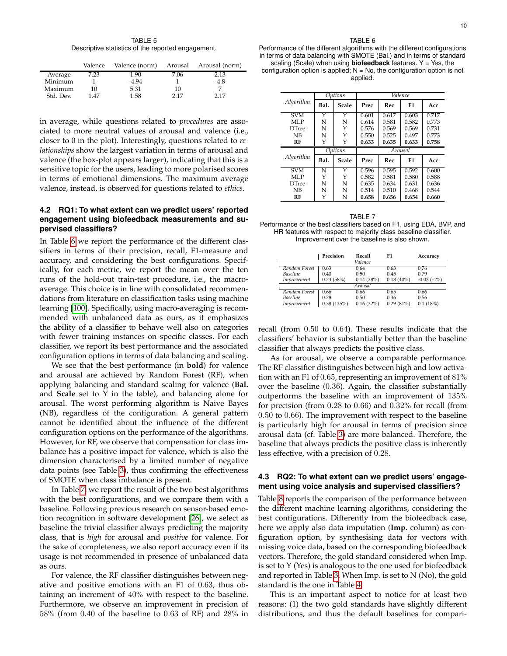TABLE 5 Descriptive statistics of the reported engagement.

<span id="page-9-0"></span>

|           | Valence | Valence (norm) |      | Arousal Arousal (norm) |
|-----------|---------|----------------|------|------------------------|
| Average   | 7.23    | 1.90           | 7.06 | 2.13                   |
| Minimum   |         | $-4.94$        |      | $-4.8$                 |
| Maximum   | 10      | 5.31           | 10   |                        |
| Std. Dev. | 1.47    | 1.58           | 2.17 | 2.17                   |

in average, while questions related to *procedures* are associated to more neutral values of arousal and valence (i.e., closer to 0 in the plot). Interestingly, questions related to *relationships* show the largest variation in terms of arousal and valence (the box-plot appears larger), indicating that this is a sensitive topic for the users, leading to more polarised scores in terms of emotional dimensions. The maximum average valence, instead, is observed for questions related to *ethics*.

# **4.2 RQ1: To what extent can we predict users' reported engagement using biofeedback measurements and supervised classifiers?**

In Table [6](#page-9-1) we report the performance of the different classifiers in terms of their precision, recall, F1-measure and accuracy, and considering the best configurations. Specifically, for each metric, we report the mean over the ten runs of the hold-out train-test procedure, i.e., the macroaverage. This choice is in line with consolidated recommendations from literature on classification tasks using machine learning [\[100\]](#page-16-35). Specifically, using macro-averaging is recommended with unbalanced data as ours, as it emphasizes the ability of a classifier to behave well also on categories with fewer training instances on specific classes. For each classifier, we report its best performance and the associated configuration options in terms of data balancing and scaling.

We see that the best performance (in **bold**) for valence and arousal are achieved by Random Forest (RF), when applying balancing and standard scaling for valence (**Bal.** and **Scale** set to Y in the table), and balancing alone for arousal. The worst performing algorithm is Naive Bayes (NB), regardless of the configuration. A general pattern cannot be identified about the influence of the different configuration options on the performance of the algorithms. However, for RF, we observe that compensation for class imbalance has a positive impact for valence, which is also the dimension characterised by a limited number of negative data points (see Table [3\)](#page-8-1), thus confirming the effectiveness of SMOTE when class imbalance is present.

In Table [7,](#page-9-2) we report the result of the two best algorithms with the best configurations, and we compare them with a baseline. Following previous research on sensor-based emotion recognition in software development [\[26\]](#page-15-0), we select as baseline the trivial classifier always predicting the majority class, that is *high* for arousal and *positive* for valence. For the sake of completeness, we also report accuracy even if its usage is not recommended in presence of unbalanced data as ours.

For valence, the RF classifier distinguishes between negative and positive emotions with an F1 of 0.63, thus obtaining an increment of 40% with respect to the baseline. Furthermore, we observe an improvement in precision of 58% (from 0.40 of the baseline to 0.63 of RF) and 28% in

<span id="page-9-1"></span>Performance of the different algorithms with the different configurations in terms of data balancing with SMOTE (Bal.) and in terms of standard scaling (Scale) when using **biofeedback** features. Y = Yes, the

configuration option is applied;  $N = No$ , the configuration option is not applied.

|               | Options               |              | Valence |       |       |       |  |
|---------------|-----------------------|--------------|---------|-------|-------|-------|--|
| Algorithm     | Bal.                  | <b>Scale</b> | Prec    | Rec   | F1    | Acc   |  |
| <b>SVM</b>    | Y                     | Y            | 0.601   | 0.617 | 0.603 | 0.717 |  |
| MLP           | N                     | N            | 0.614   | 0.581 | 0.582 | 0.773 |  |
| <b>D</b> Tree | N                     | Υ            | 0.576   | 0.569 | 0.569 | 0.731 |  |
| NB            | N                     | Y            | 0.550   | 0.525 | 0.497 | 0.773 |  |
| RF            | Y                     | Y            | 0.633   | 0.635 | 0.633 | 0.758 |  |
|               |                       | Options      | Arousal |       |       |       |  |
| Algorithm     | Bal.                  | Scale        | Prec    | Rec   | F1    | Acc   |  |
| <b>SVM</b>    | $\overline{\text{N}}$ | Y            | 0.596   | 0.595 | 0.592 | 0.600 |  |
| MLP           | Y                     | Y            | 0.582   | 0.581 | 0.580 | 0.588 |  |
| <b>DTree</b>  | N                     | N            | 0.635   | 0.634 | 0.631 | 0.636 |  |
| NB            | N                     | N            | 0.514   | 0.510 | 0.468 | 0.544 |  |
| RF            | Y                     | N            | 0.658   | 0.656 | 0.654 | 0.660 |  |

<span id="page-9-2"></span>TABLE 7 Performance of the best classifiers based on F1, using EDA, BVP, and HR features with respect to majority class baseline classifier. Improvement over the baseline is also shown.

|                 | Precision  | Recall    | F1           | Accuracy           |  |  |  |  |  |
|-----------------|------------|-----------|--------------|--------------------|--|--|--|--|--|
| Valence         |            |           |              |                    |  |  |  |  |  |
| Random Forest   | 0.63       | 0.64      | 0.63         | 0.76               |  |  |  |  |  |
| <b>Baseline</b> | 0.40       | 0.50      | 0.45         | 0.79               |  |  |  |  |  |
| Improvement     | 0.23(58%)  | 0.14(28%) | $0.18(40\%)$ | $-0.03$ ( $-4\%$ ) |  |  |  |  |  |
|                 |            | Arousal   |              |                    |  |  |  |  |  |
| Random Forest   | 0.66       | 0.66      | 0.65         | 0.66               |  |  |  |  |  |
| <b>Baseline</b> | 0.28       | 0.50      | 0.36         | 0.56               |  |  |  |  |  |
| Improvement     | 0.38(135%) | 0.16(32%) | 0.29(81%)    | 0.1(18%)           |  |  |  |  |  |

recall (from 0.50 to 0.64). These results indicate that the classifiers' behavior is substantially better than the baseline classifier that always predicts the positive class.

As for arousal, we observe a comparable performance. The RF classifier distinguishes between high and low activation with an F1 of 0.65, representing an improvement of 81% over the baseline (0.36). Again, the classifier substantially outperforms the baseline with an improvement of 135% for precision (from 0.28 to 0.66) and 0.32% for recall (from 0.50 to 0.66). The improvement with respect to the baseline is particularly high for arousal in terms of precision since arousal data (cf. Table [3\)](#page-8-1) are more balanced. Therefore, the baseline that always predicts the positive class is inherently less effective, with a precision of 0.28.

# **4.3 RQ2: To what extent can we predict users' engagement using voice analysis and supervised classifiers?**

Table [8](#page-10-0) reports the comparison of the performance between the different machine learning algorithms, considering the best configurations. Differently from the biofeedback case, here we apply also data imputation (**Imp.** column) as configuration option, by synthesising data for vectors with missing voice data, based on the corresponding biofeedback vectors. Therefore, the gold standard considered when Imp. is set to Y (Yes) is analogous to the one used for biofeedback and reported in Table [3.](#page-8-1) When Imp. is set to N (No), the gold standard is the one in Table [4.](#page-8-2)

This is an important aspect to notice for at least two reasons: (1) the two gold standards have slightly different distributions, and thus the default baselines for compari-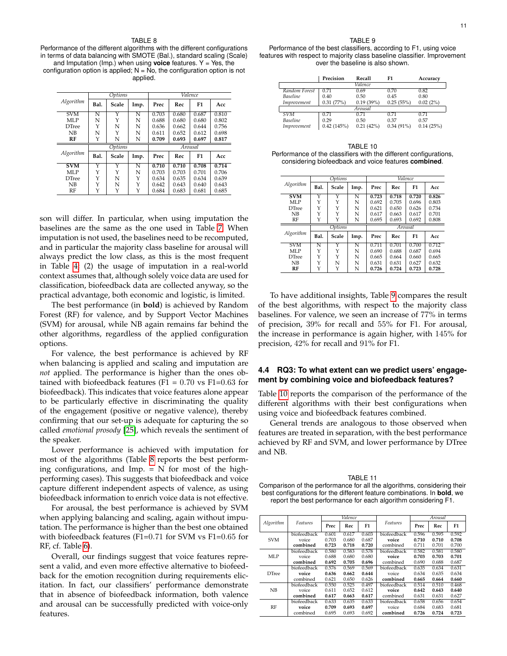#### TABLE 8

<span id="page-10-0"></span>Performance of the different algorithms with the different configurations in terms of data balancing with SMOTE (Bal.), standard scaling (Scale) and Imputation (Imp.) when using **voice** features.  $Y = Yes$ , the configuration option is applied;  $N = No$ , the configuration option is not applied.

|              |                | Options |      |         |       | Valence |       |  |
|--------------|----------------|---------|------|---------|-------|---------|-------|--|
| Algorithm    | Bal.           | Scale   | Imp. | Prec    | Rec   | F1      | Acc   |  |
| <b>SVM</b>   | N              | Υ       | N    | 0.703   | 0.680 | 0.687   | 0.810 |  |
| MLP          | N              |         | N    | 0.688   | 0.680 | 0.680   | 0.802 |  |
| <b>DTree</b> | Υ              | N       | N    | 0.636   | 0.662 | 0.644   | 0.756 |  |
| NB           | N              |         | N    | 0.611   | 0.652 | 0.612   | 0.698 |  |
| RF           | Υ              | N       | N    | 0.709   | 0.693 | 0.697   | 0.817 |  |
|              | <b>Options</b> |         |      | Arousal |       |         |       |  |
|              |                |         |      |         |       |         |       |  |
| Algorithm    | Bal.           | Scale   | Imp. | Prec    | Rec   | F1      | Acc   |  |
| <b>SVM</b>   | Υ              | Y       | N    | 0.710   | 0.710 | 0.708   | 0.714 |  |
| MLP          | Υ              | Υ       | N    | 0.703   | 0.703 | 0.701   | 0.706 |  |
| <b>DTree</b> | Υ              | N       | Y    | 0.634   | 0.635 | 0.634   | 0.639 |  |
| NB           | Υ              | N       | Y    | 0.642   | 0.643 | 0.640   | 0.643 |  |
| RF           |                |         | Υ    | 0.684   | 0.683 | 0.681   | 0.685 |  |

son will differ. In particular, when using imputation the baselines are the same as the one used in Table [7.](#page-9-2) When imputation is not used, the baselines need to be recomputed, and in particular the majority class baseline for arousal will always predict the low class, as this is the most frequent in Table [4;](#page-8-2) (2) the usage of imputation in a real-world context assumes that, although solely voice data are used for classification, biofeedback data are collected anyway, so the practical advantage, both economic and logistic, is limited.

The best performance (in **bold**) is achieved by Random Forest (RF) for valence, and by Support Vector Machines (SVM) for arousal, while NB again remains far behind the other algorithms, regardless of the applied configuration options.

For valence, the best performance is achieved by RF when balancing is applied and scaling and imputation are *not* applied. The performance is higher than the ones obtained with biofeedback features (F1 =  $0.70$  vs F1= $0.63$  for biofeedback). This indicates that voice features alone appear to be particularly effective in discriminating the quality of the engagement (positive or negative valence), thereby confirming that our set-up is adequate for capturing the so called *emotional prosody* [\[25\]](#page-14-24), which reveals the sentiment of the speaker.

Lower performance is achieved with imputation for most of the algorithms (Table [8](#page-10-0) reports the best performing configurations, and Imp.  $= N$  for most of the highperforming cases). This suggests that biofeedback and voice capture different independent aspects of valence, as using biofeedback information to enrich voice data is not effective.

For arousal, the best performance is achieved by SVM when applying balancing and scaling, again without imputation. The performance is higher than the best one obtained with biofeedback features (F1=0.71 for SVM vs F1=0.65 for RF, cf. Table [6\)](#page-9-1).

Overall, our findings suggest that voice features represent a valid, and even more effective alternative to biofeedback for the emotion recognition during requirements elicitation. In fact, our classifiers' performance demonstrate that in absence of biofeedback information, both valence and arousal can be successfully predicted with voice-only features.

<span id="page-10-1"></span>Performance of the best classifiers, according to F1, using voice features with respect to majority class baseline classifier. Improvement over the baseline is also shown.

|                 | Precision  | Recall    | F1           | Accuracy  |  |  |  |  |
|-----------------|------------|-----------|--------------|-----------|--|--|--|--|
| Valence         |            |           |              |           |  |  |  |  |
| Random Forest   | 0.71       | 0.69      | 0.70         | 0.82      |  |  |  |  |
| <b>Baseline</b> | 0.40       | 0.50      | 0.45         | 0.80      |  |  |  |  |
| Improvement     | 0.31(77%)  | 0.19(39%) | 0.25(55%)    | 0.02(2%)  |  |  |  |  |
|                 |            | Arousal   |              |           |  |  |  |  |
| <b>SVM</b>      | 0.71       | 0.71      | 0.71         | 0.71      |  |  |  |  |
| <b>Baseline</b> | 0.29       | 0.50      | 0.37         | 0.57      |  |  |  |  |
| Improvement     | 0.42(145%) | 0.21(42%) | $0.34(91\%)$ | 0.14(25%) |  |  |  |  |

<span id="page-10-2"></span>TABLE 10 Performance of the classifiers with the different configurations, considering biofeedback and voice features **combined**.

|               | Options |       |      | Valence |       |       |       |
|---------------|---------|-------|------|---------|-------|-------|-------|
| Algorithm     | Bal.    | Scale | Imp. | Prec    | Rec   | F1    | Acc   |
| <b>SVM</b>    | Υ       | Y     | N    | 0.723   | 0.718 | 0.720 | 0.826 |
| MLP           |         | Y     | N    | 0.692   | 0.705 | 0.696 | 0.803 |
| <b>D</b> Tree | Υ       | Υ     | N    | 0.621   | 0.650 | 0.626 | 0.734 |
| NB            | Υ       | Υ     | N    | 0.617   | 0.663 | 0.617 | 0.701 |
| RF            | Υ       | Υ     | N    | 0.695   | 0.693 | 0.692 | 0.808 |
|               | Options |       |      | Arousal |       |       |       |
| Algorithm     | Bal.    | Scale | Imp. | Prec    | Rec   | F1    | Acc   |
| <b>SVM</b>    | N       | Y     | N    | 0.711   | 0.701 | 0.700 | 0.712 |
| MLP           |         | Y     | N    | 0.690   | 0.688 | 0.687 | 0.694 |
| <b>D</b> Tree | Υ       | Υ     | N    | 0.665   | 0.664 | 0.660 | 0.665 |
| NB            | Υ       | N     | N    | 0.631   | 0.631 | 0.627 | 0.632 |
| RF            | Υ       | Υ     | N    | 0.726   | 0.724 | 0.723 | 0.728 |

To have additional insights, Table [9](#page-10-1) compares the result of the best algorithms, with respect to the majority class baselines. For valence, we seen an increase of 77% in terms of precision, 39% for recall and 55% for F1. For arousal, the increase in performance is again higher, with 145% for precision, 42% for recall and 91% for F1.

# **4.4 RQ3: To what extent can we predict users' engagement by combining voice and biofeedback features?**

Table [10](#page-10-2) reports the comparison of the performance of the different algorithms with their best configurations when using voice and biofeedback features combined.

General trends are analogous to those observed when features are treated in separation, with the best performance achieved by RF and SVM, and lower performance by DTree and NB.

<span id="page-10-3"></span>TABLE 11 Comparison of the performance for all the algorithms, considering their best configurations for the different feature combinations. In **bold**, we report the best performance for each algorithm considering F1.

|              |             | Valence |       |       |             |       | Arousal |       |
|--------------|-------------|---------|-------|-------|-------------|-------|---------|-------|
| Algorithm    | Features    | Prec    | Rec   | F1    | Features    | Prec  | Rec     | F1    |
|              | biofeedback | 0.601   | 0.617 | 0.603 | biofeedback | 0.596 | 0.595   | 0.592 |
| <b>SVM</b>   | voice       | 0.703   | 0.680 | 0.687 | voice       | 0.710 | 0.710   | 0.708 |
|              | combined    | 0.723   | 0.718 | 0.720 | combined    | 0.711 | 0.701   | 0.700 |
|              | biofeedback | 0.580   | 0.583 | 0.578 | biofeedback | 0.582 | 0.581   | 0.580 |
| <b>MLP</b>   | voice       | 0.688   | 0.680 | 0.680 | voice       | 0.703 | 0.703   | 0.701 |
|              | combined    | 0.692   | 0.705 | 0.696 | combined    | 0.690 | 0.688   | 0.687 |
|              | biofeedback | 0.576   | 0.569 | 0.569 | biofeedback | 0.635 | 0.634   | 0.631 |
| <b>DTree</b> | voice       | 0.636   | 0.662 | 0.644 | voice       | 0.634 | 0.635   | 0.634 |
|              | combined    | 0.621   | 0.650 | 0.626 | combined    | 0.665 | 0.664   | 0.660 |
|              | biofeedback | 0.550   | 0.525 | 0.497 | biofeedback | 0.514 | 0.510   | 0.468 |
| NB           | voice       | 0.611   | 0.652 | 0.612 | voice       | 0.642 | 0.643   | 0.640 |
|              | combined    | 0.617   | 0.663 | 0.617 | combined    | 0.631 | 0.631   | 0.627 |
|              | biofeedback | 0.633   | 0.635 | 0.633 | biofeedback | 0.658 | 0.656   | 0.654 |
| RF           | voice       | 0.709   | 0.693 | 0.697 | voice       | 0.684 | 0.683   | 0.681 |
|              | combined    | 0.695   | 0.693 | 0.692 | combined    | 0.726 | 0.724   | 0.723 |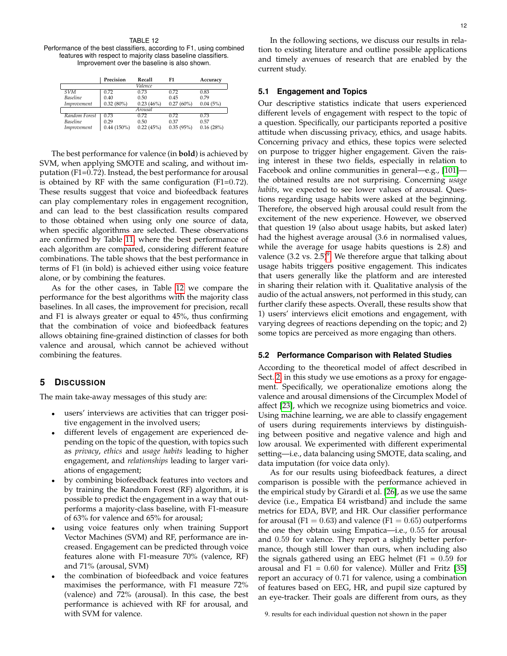<span id="page-11-1"></span>TABLE 12 Performance of the best classifiers, according to F1, using combined features with respect to majority class baseline classifiers. Improvement over the baseline is also shown.

|                 | Precision     | Recall    | F1        | Accuracy  |
|-----------------|---------------|-----------|-----------|-----------|
| Valence         |               |           |           |           |
| <b>SVM</b>      | 0.72          | 0.73      | 0.72      | 0.83      |
| <b>Baseline</b> | 0.40          | 0.50      | 0.45      | 0.79      |
| Improvement     | $0.32(80\%)$  | 0.23(46%) | 0.27(60%) | 0.04(5%)  |
| Arousal         |               |           |           |           |
| Random Forest   | 0.73          | 0.72      | 0.72      | 0.73      |
| <b>Baseline</b> | 0.29          | 0.50      | 0.37      | 0.57      |
| Improvement     | $0.44(150\%)$ | 0.22(45%) | 0.35(95%) | 0.16(28%) |

The best performance for valence (in **bold**) is achieved by SVM, when applying SMOTE and scaling, and without imputation (F1=0.72). Instead, the best performance for arousal is obtained by RF with the same configuration (F1=0.72). These results suggest that voice and biofeedback features can play complementary roles in engagement recognition, and can lead to the best classification results compared to those obtained when using only one source of data, when specific algorithms are selected. These observations are confirmed by Table [11,](#page-10-3) where the best performance of each algorithm are compared, considering different feature combinations. The table shows that the best performance in terms of F1 (in bold) is achieved either using voice feature alone, or by combining the features.

As for the other cases, in Table [12](#page-11-1) we compare the performance for the best algorithms with the majority class baselines. In all cases, the improvement for precision, recall and F1 is always greater or equal to 45%, thus confirming that the combination of voice and biofeedback features allows obtaining fine-grained distinction of classes for both valence and arousal, which cannot be achieved without combining the features.

# <span id="page-11-0"></span>**5 DISCUSSION**

The main take-away messages of this study are:

- users' interviews are activities that can trigger positive engagement in the involved users;
- different levels of engagement are experienced depending on the topic of the question, with topics such as *privacy*, *ethics* and *usage habits* leading to higher engagement, and *relationships* leading to larger variations of engagement;
- by combining biofeedback features into vectors and by training the Random Forest (RF) algorithm, it is possible to predict the engagement in a way that outperforms a majority-class baseline, with F1-measure of 63% for valence and 65% for arousal;
- using voice features only when training Support Vector Machines (SVM) and RF, performance are increased. Engagement can be predicted through voice features alone with F1-measure 70% (valence, RF) and 71% (arousal, SVM)
- the combination of biofeedback and voice features maximises the performance, with F1 measure 72% (valence) and 72% (arousal). In this case, the best performance is achieved with RF for arousal, and with SVM for valence.

In the following sections, we discuss our results in relation to existing literature and outline possible applications and timely avenues of research that are enabled by the current study.

## **5.1 Engagement and Topics**

Our descriptive statistics indicate that users experienced different levels of engagement with respect to the topic of a question. Specifically, our participants reported a positive attitude when discussing privacy, ethics, and usage habits. Concerning privacy and ethics, these topics were selected on purpose to trigger higher engagement. Given the raising interest in these two fields, especially in relation to Facebook and online communities in general—e.g., [\[101\]](#page-16-36) the obtained results are not surprising. Concerning *usage habits*, we expected to see lower values of arousal. Questions regarding usage habits were asked at the beginning. Therefore, the observed high arousal could result from the excitement of the new experience. However, we observed that question 19 (also about usage habits, but asked later) had the highest average arousal (3.6 in normalised values, while the average for usage habits questions is 2.8) and valence  $(3.2 \text{ vs. } 2.5)^9$  $(3.2 \text{ vs. } 2.5)^9$ . We therefore argue that talking about usage habits triggers positive engagement. This indicates that users generally like the platform and are interested in sharing their relation with it. Qualitative analysis of the audio of the actual answers, not performed in this study, can further clarify these aspects. Overall, these results show that 1) users' interviews elicit emotions and engagement, with varying degrees of reactions depending on the topic; and 2) some topics are perceived as more engaging than others.

#### **5.2 Performance Comparison with Related Studies**

According to the theoretical model of affect described in Sect. [2,](#page-1-1) in this study we use emotions as a proxy for engagement. Specifically, we operationalize emotions along the valence and arousal dimensions of the Circumplex Model of affect [\[23\]](#page-14-22), which we recognize using biometrics and voice. Using machine learning, we are able to classify engagement of users during requirements interviews by distinguishing between positive and negative valence and high and low arousal. We experimented with different experimental setting—i.e., data balancing using SMOTE, data scaling, and data imputation (for voice data only).

As for our results using biofeedback features, a direct comparison is possible with the performance achieved in the empirical study by Girardi et al. [\[26\]](#page-15-0), as we use the same device (i.e., Empatica E4 wristband) and include the same metrics for EDA, BVP, and HR. Our classifier performance for arousal (F1 =  $0.63$ ) and valence (F1 =  $0.65$ ) outperforms the one they obtain using Empatica—i.e., 0.55 for arousal and 0.59 for valence. They report a slightly better performance, though still lower than ours, when including also the signals gathered using an EEG helmet  $(F1 = 0.59$  for arousal and F1 =  $0.60$  for valence). Müller and Fritz [\[35\]](#page-15-9) report an accuracy of 0.71 for valence, using a combination of features based on EEG, HR, and pupil size captured by an eye-tracker. Their goals are different from ours, as they

<span id="page-11-2"></span>9. results for each individual question not shown in the paper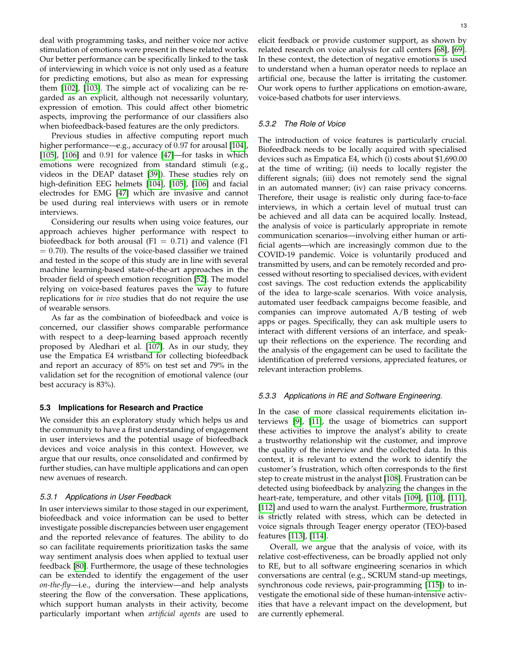deal with programming tasks, and neither voice nor active stimulation of emotions were present in these related works. Our better performance can be specifically linked to the task of interviewing in which voice is not only used as a feature for predicting emotions, but also as mean for expressing them [\[102\]](#page-16-37), [\[103\]](#page-16-38). The simple act of vocalizing can be regarded as an explicit, although not necessarily voluntary, expression of emotion. This could affect other biometric aspects, improving the performance of our classifiers also when biofeedback-based features are the only predictors.

Previous studies in affective computing report much higher performance—e.g., accuracy of 0.97 for arousal [\[104\]](#page-16-39), [\[105\]](#page-16-40), [\[106\]](#page-16-41) and 0.91 for valence [\[47\]](#page-15-21)—for tasks in which emotions were recognized from standard stimuli (e.g., videos in the DEAP dataset [\[39\]](#page-15-13)). These studies rely on high-definition EEG helmets [\[104\]](#page-16-39), [\[105\]](#page-16-40), [\[106\]](#page-16-41) and facial electrodes for EMG [\[47\]](#page-15-21) which are invasive and cannot be used during real interviews with users or in remote interviews.

Considering our results when using voice features, our approach achieves higher performance with respect to biofeedback for both arousal (F1 =  $0.71$ ) and valence (F1  $= 0.70$ ). The results of the voice-based classifier we trained and tested in the scope of this study are in line with several machine learning-based state-of-the-art approaches in the broader field of speech emotion recognition [\[52\]](#page-15-26). The model relying on voice-based features paves the way to future replications for *in vivo* studies that do not require the use of wearable sensors.

As far as the combination of biofeedback and voice is concerned, our classifier shows comparable performance with respect to a deep-learning based approach recently proposed by Aledhari et al. [\[107\]](#page-16-42). As in our study, they use the Empatica E4 wristband for collecting biofeedback and report an accuracy of 85% on test set and 79% in the validation set for the recognition of emotional valence (our best accuracy is 83%).

#### **5.3 Implications for Research and Practice**

We consider this an exploratory study which helps us and the community to have a first understanding of engagement in user interviews and the potential usage of biofeedback devices and voice analysis in this context. However, we argue that our results, once consolidated and confirmed by further studies, can have multiple applications and can open new avenues of research.

## *5.3.1 Applications in User Feedback*

In user interviews similar to those staged in our experiment, biofeedback and voice information can be used to better investigate possible discrepancies between user engagement and the reported relevance of features. The ability to do so can facilitate requirements prioritization tasks the same way sentiment analysis does when applied to textual user feedback [\[80\]](#page-16-15). Furthermore, the usage of these technologies can be extended to identify the engagement of the user *on-the-fly*—i.e., during the interview—and help analysts steering the flow of the conversation. These applications, which support human analysts in their activity, become particularly important when *artificial agents* are used to

elicit feedback or provide customer support, as shown by related research on voice analysis for call centers [\[68\]](#page-16-3), [\[69\]](#page-16-4). In these context, the detection of negative emotions is used to understand when a human operator needs to replace an artificial one, because the latter is irritating the customer. Our work opens to further applications on emotion-aware, voice-based chatbots for user interviews.

#### *5.3.2 The Role of Voice*

The introduction of voice features is particularly crucial. Biofeedback needs to be locally acquired with specialised devices such as Empatica E4, which (i) costs about \$1,690.00 at the time of writing; (ii) needs to locally register the different signals; (iii) does not remotely send the signal in an automated manner; (iv) can raise privacy concerns. Therefore, their usage is realistic only during face-to-face interviews, in which a certain level of mutual trust can be achieved and all data can be acquired locally. Instead, the analysis of voice is particularly appropriate in remote communication scenarios—involving either human or artificial agents—which are increasingly common due to the COVID-19 pandemic. Voice is voluntarily produced and transmitted by users, and can be remotely recorded and processed without resorting to specialised devices, with evident cost savings. The cost reduction extends the applicability of the idea to large-scale scenarios. With voice analysis, automated user feedback campaigns become feasible, and companies can improve automated A/B testing of web apps or pages. Specifically, they can ask multiple users to interact with different versions of an interface, and speakup their reflections on the experience. The recording and the analysis of the engagement can be used to facilitate the identification of preferred versions, appreciated features, or relevant interaction problems.

# *5.3.3 Applications in RE and Software Engineering.*

In the case of more classical requirements elicitation interviews [\[9\]](#page-14-8), [\[11\]](#page-14-10), the usage of biometrics can support these activities to improve the analyst's ability to create a trustworthy relationship wit the customer, and improve the quality of the interview and the collected data. In this context, it is relevant to extend the work to identify the customer's frustration, which often corresponds to the first step to create mistrust in the analyst [\[108\]](#page-17-0). Frustration can be detected using biofeedback by analyzing the changes in the heart-rate, temperature, and other vitals [\[109\]](#page-17-1), [\[110\]](#page-17-2), [\[111\]](#page-17-3), [\[112\]](#page-17-4) and used to warn the analyst. Furthermore, frustration is strictly related with stress, which can be detected in voice signals through Teager energy operator (TEO)-based features [\[113\]](#page-17-5), [\[114\]](#page-17-6).

Overall, we argue that the analysis of voice, with its relative cost-effectiveness, can be broadly applied not only to RE, but to all software engineering scenarios in which conversations are central (e.g., SCRUM stand-up meetings, synchronous code reviews, pair-programming [\[115\]](#page-17-7)) to investigate the emotional side of these human-intensive activities that have a relevant impact on the development, but are currently ephemeral.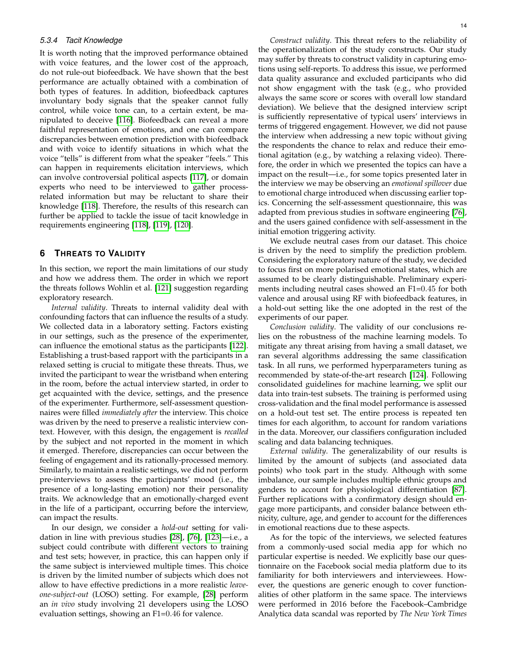# *5.3.4 Tacit Knowledge*

It is worth noting that the improved performance obtained with voice features, and the lower cost of the approach, do not rule-out biofeedback. We have shown that the best performance are actually obtained with a combination of both types of features. In addition, biofeedback captures involuntary body signals that the speaker cannot fully control, while voice tone can, to a certain extent, be manipulated to deceive [\[116\]](#page-17-8). Biofeedback can reveal a more faithful representation of emotions, and one can compare discrepancies between emotion prediction with biofeedback and with voice to identify situations in which what the voice "tells" is different from what the speaker "feels." This can happen in requirements elicitation interviews, which can involve controversial political aspects [\[117\]](#page-17-9), or domain experts who need to be interviewed to gather processrelated information but may be reluctant to share their knowledge [\[118\]](#page-17-10). Therefore, the results of this research can further be applied to tackle the issue of tacit knowledge in requirements engineering [\[118\]](#page-17-10), [\[119\]](#page-17-11), [\[120\]](#page-17-12).

# <span id="page-13-0"></span>**6 THREATS TO VALIDITY**

In this section, we report the main limitations of our study and how we address them. The order in which we report the threats follows Wohlin et al. [\[121\]](#page-17-13) suggestion regarding exploratory research.

*Internal validity*. Threats to internal validity deal with confounding factors that can influence the results of a study. We collected data in a laboratory setting. Factors existing in our settings, such as the presence of the experimenter, can influence the emotional status as the participants [\[122\]](#page-17-14). Establishing a trust-based rapport with the participants in a relaxed setting is crucial to mitigate these threats. Thus, we invited the participant to wear the wristband when entering in the room, before the actual interview started, in order to get acquainted with the device, settings, and the presence of the experimenter. Furthermore, self-assessment questionnaires were filled *immediately after* the interview. This choice was driven by the need to preserve a realistic interview context. However, with this design, the engagement is *recalled* by the subject and not reported in the moment in which it emerged. Therefore, discrepancies can occur between the feeling of engagement and its rationally-processed memory. Similarly, to maintain a realistic settings, we did not perform pre-interviews to assess the participants' mood (i.e., the presence of a long-lasting emotion) nor their personality traits. We acknowledge that an emotionally-charged event in the life of a participant, occurring before the interview, can impact the results.

In our design, we consider a *hold-out* setting for validation in line with previous studies [\[28\]](#page-15-2), [\[76\]](#page-16-11), [\[123\]](#page-17-15)—i.e., a subject could contribute with different vectors to training and test sets; however, in practice, this can happen only if the same subject is interviewed multiple times. This choice is driven by the limited number of subjects which does not allow to have effective predictions in a more realistic *leaveone-subject-out* (LOSO) setting. For example, [\[28\]](#page-15-2) perform an *in vivo* study involving 21 developers using the LOSO evaluation settings, showing an F1=0.46 for valence.

*Construct validity*. This threat refers to the reliability of the operationalization of the study constructs. Our study may suffer by threats to construct validity in capturing emotions using self-reports. To address this issue, we performed data quality assurance and excluded participants who did not show engagment with the task (e.g., who provided always the same score or scores with overall low standard deviation). We believe that the designed interview script is sufficiently representative of typical users' interviews in terms of triggered engagement. However, we did not pause the interview when addressing a new topic without giving the respondents the chance to relax and reduce their emotional agitation (e.g., by watching a relaxing video). Therefore, the order in which we presented the topics can have a impact on the result—i.e., for some topics presented later in the interview we may be observing an *emotional spillover* due to emotional charge introduced when discussing earlier topics. Concerning the self-assessment questionnaire, this was adapted from previous studies in software engineering [\[76\]](#page-16-11), and the users gained confidence with self-assessment in the initial emotion triggering activity.

We exclude neutral cases from our dataset. This choice is driven by the need to simplify the prediction problem. Considering the exploratory nature of the study, we decided to focus first on more polarised emotional states, which are assumed to be clearly distinguishable. Preliminary experiments including neutral cases showed an F1=0.45 for both valence and arousal using RF with biofeedback features, in a hold-out setting like the one adopted in the rest of the experiments of our paper.

*Conclusion validity*. The validity of our conclusions relies on the robustness of the machine learning models. To mitigate any threat arising from having a small dataset, we ran several algorithms addressing the same classification task. In all runs, we performed hyperparameters tuning as recommended by state-of-the-art research [\[124\]](#page-17-16). Following consolidated guidelines for machine learning, we split our data into train-test subsets. The training is performed using cross-validation and the final model performance is assessed on a hold-out test set. The entire process is repeated ten times for each algorithm, to account for random variations in the data. Moreover, our classifiers configuration included scaling and data balancing techniques.

*External validity*. The generalizability of our results is limited by the amount of subjects (and associated data points) who took part in the study. Although with some imbalance, our sample includes multiple ethnic groups and genders to account for physiological differentiation [\[87\]](#page-16-22). Further replications with a confirmatory design should engage more participants, and consider balance between ethnicity, culture, age, and gender to account for the differences in emotional reactions due to these aspects.

As for the topic of the interviews, we selected features from a commonly-used social media app for which no particular expertise is needed. We explicitly base our questionnaire on the Facebook social media platform due to its familiarity for both interviewers and interviewees. However, the questions are generic enough to cover functionalities of other platform in the same space. The interviews were performed in 2016 before the Facebook–Cambridge Analytica data scandal was reported by *The New York Times*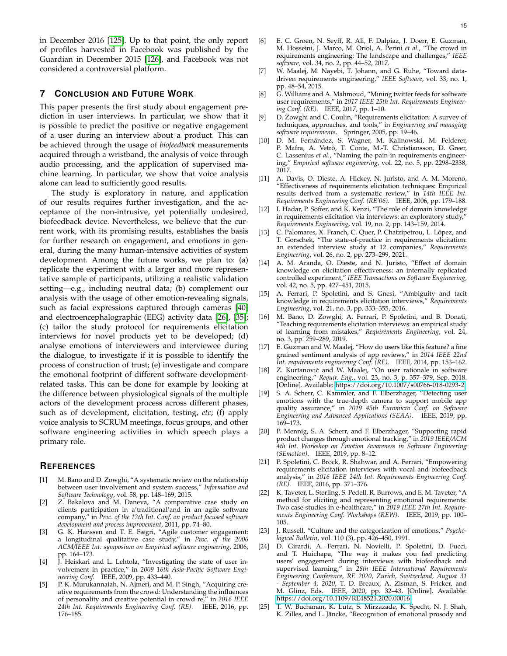in December 2016 [\[125\]](#page-17-17). Up to that point, the only report of profiles harvested in Facebook was published by the Guardian in December 2015 [\[126\]](#page-17-18), and Facebook was not considered a controversial platform.

# <span id="page-14-25"></span>**7 CONCLUSION AND FUTURE WORK**

This paper presents the first study about engagement prediction in user interviews. In particular, we show that it is possible to predict the positive or negative engagement of a user during an interview about a product. This can be achieved through the usage of *biofeedback* measurements acquired through a wristband, the analysis of voice through audio processing, and the application of supervised machine learning. In particular, we show that voice analysis alone can lead to sufficiently good results.

The study is exploratory in nature, and application of our results requires further investigation, and the acceptance of the non-intrusive, yet potentially undesired, biofeedback device. Nevertheless, we believe that the current work, with its promising results, establishes the basis for further research on engagement, and emotions in general, during the many human-intensive activities of system development. Among the future works, we plan to: (a) replicate the experiment with a larger and more representative sample of participants, utilizing a realistic validation setting—e.g., including neutral data; (b) complement our analysis with the usage of other emotion-revealing signals, such as facial expressions captured through cameras [\[40\]](#page-15-14) and electroencephalographic (EEG) activity data [\[26\]](#page-15-0), [\[35\]](#page-15-9); (c) tailor the study protocol for requirements elicitation interviews for novel products yet to be developed; (d) analyse emotions of interviewers and interviewee during the dialogue, to investigate if it is possible to identify the process of construction of trust; (e) investigate and compare the emotional footprint of different software developmentrelated tasks. This can be done for example by looking at the difference between physiological signals of the multiple actors of the development process across different phases, such as of development, elicitation, testing, *etc*; (f) apply voice analysis to SCRUM meetings, focus groups, and other software engineering activities in which speech plays a primary role.

## **REFERENCES**

- <span id="page-14-0"></span>[1] M. Bano and D. Zowghi, "A systematic review on the relationship between user involvement and system success," *Information and Software Technology*, vol. 58, pp. 148–169, 2015.
- <span id="page-14-1"></span>[2] Z. Bakalova and M. Daneva, "A comparative case study on clients participation in a'traditional'and in an agile software company," in *Proc. of the 12th Int. Conf. on product focused software development and process improvement*, 2011, pp. 74–80.
- <span id="page-14-2"></span>[3] G. K. Hanssen and T. E. Fægri, "Agile customer engagement: a longitudinal qualitative case study," in *Proc. of the 2006 ACM/IEEE Int. symposium on Empirical software engineering*, 2006, pp. 164–173.
- <span id="page-14-3"></span>[4] J. Heiskari and L. Lehtola, "Investigating the state of user involvement in practice," in *2009 16th Asia-Pacific Software Engineering Conf.* IEEE, 2009, pp. 433–440.
- <span id="page-14-4"></span>[5] P. K. Murukannaiah, N. Ajmeri, and M. P. Singh, "Acquiring creative requirements from the crowd: Understanding the influences of personality and creative potential in crowd re," in *2016 IEEE 24th Int. Requirements Engineering Conf. (RE)*. IEEE, 2016, pp. 176–185.
- <span id="page-14-5"></span>[6] E. C. Groen, N. Seyff, R. Ali, F. Dalpiaz, J. Doerr, E. Guzman, M. Hosseini, J. Marco, M. Oriol, A. Perini *et al.*, "The crowd in requirements engineering: The landscape and challenges," *IEEE software*, vol. 34, no. 2, pp. 44–52, 2017.
- <span id="page-14-6"></span>[7] W. Maalej, M. Nayebi, T. Johann, and G. Ruhe, "Toward datadriven requirements engineering," *IEEE Software*, vol. 33, no. 1, pp. 48–54, 2015.
- <span id="page-14-7"></span>[8] G. Williams and A. Mahmoud, "Mining twitter feeds for software user requirements," in *2017 IEEE 25th Int. Requirements Engineering Conf. (RE)*. IEEE, 2017, pp. 1–10.
- <span id="page-14-8"></span>[9] D. Zowghi and C. Coulin, "Requirements elicitation: A survey of techniques, approaches, and tools," in *Engineering and managing software requirements*. Springer, 2005, pp. 19–46.
- <span id="page-14-9"></span>[10] D. M. Fernández, S. Wagner, M. Kalinowski, M. Felderer, P. Mafra, A. Vetrò, T. Conte, M.-T. Christiansson, D. Greer, C. Lassenius *et al.*, "Naming the pain in requirements engineering," *Empirical software engineering*, vol. 22, no. 5, pp. 2298–2338, 2017.
- <span id="page-14-10"></span>[11] A. Davis, O. Dieste, A. Hickey, N. Juristo, and A. M. Moreno, "Effectiveness of requirements elicitation techniques: Empirical results derived from a systematic review," in *14th IEEE Int. Requirements Engineering Conf. (RE'06)*. IEEE, 2006, pp. 179–188.
- <span id="page-14-11"></span>[12] I. Hadar, P. Soffer, and K. Kenzi, "The role of domain knowledge in requirements elicitation via interviews: an exploratory study, *Requirements Engineering*, vol. 19, no. 2, pp. 143–159, 2014.
- <span id="page-14-12"></span>[13] C. Palomares, X. Franch, C. Quer, P. Chatzipetrou, L. López, and T. Gorschek, "The state-of-practice in requirements elicitation: an extended interview study at 12 companies," *Requirements Engineering*, vol. 26, no. 2, pp. 273–299, 2021.
- <span id="page-14-13"></span>[14] A. M. Aranda, O. Dieste, and N. Juristo, "Effect of domain knowledge on elicitation effectiveness: an internally replicated controlled experiment," *IEEE Transactions on Software Engineering*, vol. 42, no. 5, pp. 427–451, 2015.
- <span id="page-14-14"></span>[15] A. Ferrari, P. Spoletini, and S. Gnesi, "Ambiguity and tacit knowledge in requirements elicitation interviews," *Requirements Engineering*, vol. 21, no. 3, pp. 333–355, 2016.
- <span id="page-14-15"></span>[16] M. Bano, D. Zowghi, A. Ferrari, P. Spoletini, and B. Donati, "Teaching requirements elicitation interviews: an empirical study of learning from mistakes," *Requirements Engineering*, vol. 24, no. 3, pp. 259–289, 2019.
- <span id="page-14-16"></span>[17] E. Guzman and W. Maalej, "How do users like this feature? a fine grained sentiment analysis of app reviews," in *2014 IEEE 22nd Int. requirements engineering Conf. (RE)*. IEEE, 2014, pp. 153–162.
- <span id="page-14-17"></span>[18] Z. Kurtanovic and W. Maalej, "On user rationale in software ´ engineering," *Requir. Eng.*, vol. 23, no. 3, p. 357–379, Sep. 2018. [Online]. Available:<https://doi.org/10.1007/s00766-018-0293-2>
- <span id="page-14-18"></span>[19] S. A. Scherr, C. Kammler, and F. Elberzhager, "Detecting user emotions with the true-depth camera to support mobile app quality assurance," in *2019 45th Euromicro Conf. on Software Engineering and Advanced Applications (SEAA)*. IEEE, 2019, pp. 169–173.
- <span id="page-14-19"></span>[20] P. Mennig, S. A. Scherr, and F. Elberzhager, "Supporting rapid product changes through emotional tracking," in *2019 IEEE/ACM 4th Int. Workshop on Emotion Awareness in Software Engineering (SEmotion)*. IEEE, 2019, pp. 8–12.
- <span id="page-14-20"></span>[21] P. Spoletini, C. Brock, R. Shahwar, and A. Ferrari, "Empowering requirements elicitation interviews with vocal and biofeedback analysis," in *2016 IEEE 24th Int. Requirements Engineering Conf. (RE)*. IEEE, 2016, pp. 371–376.
- <span id="page-14-21"></span>[22] K. Taveter, L. Sterling, S. Pedell, R. Burrows, and E. M. Taveter, "A method for eliciting and representing emotional requirements: Two case studies in e-healthcare," in *2019 IEEE 27th Int. Requirements Engineering Conf. Workshops (REW)*. IEEE, 2019, pp. 100– 105.
- <span id="page-14-22"></span>[23] J. Russell, "Culture and the categorization of emotions," *Psychological Bulletin*, vol. 110 (3), pp. 426–450, 1991.
- <span id="page-14-23"></span>[24] D. Girardi, A. Ferrari, N. Novielli, P. Spoletini, D. Fucci, and T. Huichapa, "The way it makes you feel predicting users' engagement during interviews with biofeedback and supervised learning," in *28th IEEE International Requirements Engineering Conference, RE 2020, Zurich, Switzerland, August 31 - September 4, 2020*, T. D. Breaux, A. Zisman, S. Fricker, and M. Glinz, Eds. IEEE, 2020, pp. 32–43. [Online]. Available: <https://doi.org/10.1109/RE48521.2020.00016>
- <span id="page-14-24"></span>[25] T. W. Buchanan, K. Lutz, S. Mirzazade, K. Specht, N. J. Shah, K. Zilles, and L. Jäncke, "Recognition of emotional prosody and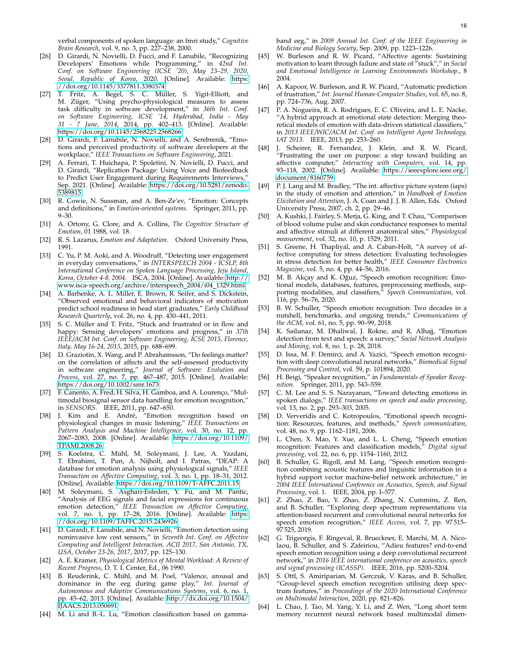verbal components of spoken language: an fmri study," *Cognitive Brain Research*, vol. 9, no. 3, pp. 227–238, 2000.

- <span id="page-15-0"></span>[26] D. Girardi, N. Novielli, D. Fucci, and F. Lanubile, "Recognizing Developers' Emotions while Programming," in *42nd Int. Conf. on Software Engineering (ICSE '20), May 23–29, 2020, Seoul, Republic of Korea*, 2020. [Online]. Available: [https:](https://doi.org/10.1145/3377811.3380374) [//doi.org/10.1145/3377811.3380374](https://doi.org/10.1145/3377811.3380374)
- <span id="page-15-1"></span>[27] T. Fritz, A. Begel, S. C. Müller, S. Yigit-Elliott, and M. Züger, "Using psycho-physiological measures to assess task difficulty in software development," in *36th Int. Conf. on Software Engineering, ICSE '14, Hyderabad, India - May 31 - 7 June, 2014*, 2014, pp. 402–413. [Online]. Available: <https://doi.org/10.1145/2568225.2568266>
- <span id="page-15-2"></span>[28] D. Girardi, F. Lanubile, N. Novielli, and A. Serebrenik, "Emotions and perceived productivity of software developers at the workplace," *IEEE Transactions on Software Engineering*, 2021.
- <span id="page-15-3"></span>[29] A. Ferrari, T. Huichapa, P. Spoletini, N. Novielli, D. Fucci, and D. Girardi, "Replication Package: Using Voice and Biofeedback to Predict User Engagement during Requirements Interviews," Sep. 2021. [Online]. Available: [https://doi.org/10.5281/zenodo.](https://doi.org/10.5281/zenodo.5389815) [5389815](https://doi.org/10.5281/zenodo.5389815)
- <span id="page-15-4"></span>[30] R. Cowie, N. Sussman, and A. Ben-Ze'ev, "Emotion: Concepts and definitions," in *Emotion-oriented systems*. Springer, 2011, pp. 9–30.
- <span id="page-15-5"></span>[31] A. Ortony, G. Clore, and A. Collins, *The Cognitive Structure of Emotion*, 01 1988, vol. 18.
- <span id="page-15-6"></span>[32] R. S. Lazarus, *Emotion and Adaptation*. Oxford University Press, 1991.
- <span id="page-15-7"></span>[33] C. Yu, P. M. Aoki, and A. Woodruff, "Detecting user engagement in everyday conversations," in *INTERSPEECH 2004 - ICSLP, 8th International Conference on Spoken Language Processing, Jeju Island, Korea, October 4-8, 2004*. ISCA, 2004. [Online]. Available: [http://](http://www.isca-speech.org/archive/interspeech_2004/i04_1329.html) [www.isca-speech.org/archive/interspeech](http://www.isca-speech.org/archive/interspeech_2004/i04_1329.html) 2004/i04 1329.html
- <span id="page-15-8"></span>[34] A. Barhenke, A. L. Miller, E. Brown, R. Seifer, and S. Dickstein, "Observed emotional and behavioral indicators of motivation predict school readiness in head start graduates," *Early Childhood Research Quarterly*, vol. 26, no. 4, pp. 430–441, 2011.
- <span id="page-15-9"></span>[35] S. C. Müller and T. Fritz, "Stuck and frustrated or in flow and happy: Sensing developers' emotions and progress," in *37th IEEE/ACM Int. Conf. on Software Engineering, ICSE 2015, Florence, Italy, May 16-24, 2015*, 2015, pp. 688–699.
- <span id="page-15-10"></span>[36] D. Graziotin, X. Wang, and P. Abrahamsson, "Do feelings matter? on the correlation of affects and the self-assessed productivity in software engineering," *Journal of Software: Evolution and Process*, vol. 27, no. 7, pp. 467–487, 2015. [Online]. Available: <https://doi.org/10.1002/smr.1673>
- <span id="page-15-11"></span>[37] F. Canento, A. Fred, H. Silva, H. Gamboa, and A. Lourenço, "Multimodal biosignal sensor data handling for emotion recognition," in *SENSORS*. IEEE, 2011, pp. 647–650.
- <span id="page-15-12"></span>[38] J. Kim and E. André, "Emotion recognition based on physiological changes in music listening," *IEEE Transactions on Pattern Analysis and Machine Intelligence*, vol. 30, no. 12, pp. 2067–2083, 2008. [Online]. Available: [https://doi.org/10.1109/](https://doi.org/10.1109/TPAMI.2008.26) [TPAMI.2008.26](https://doi.org/10.1109/TPAMI.2008.26)
- <span id="page-15-13"></span>[39] S. Koelstra, C. Mühl, M. Soleymani, J. Lee, A. Yazdani, T. Ebrahimi, T. Pun, A. Nijholt, and I. Patras, "DEAP: A database for emotion analysis using physiological signals," *IEEE Transaction on Affective Computing*, vol. 3, no. 1, pp. 18–31, 2012. [Online]. Available:<https://doi.org/10.1109/T-AFFC.2011.15>
- <span id="page-15-14"></span>[40] M. Soleymani, S. Asghari-Esfeden, Y. Fu, and M. Pantic, "Analysis of EEG signals and facial expressions for continuous emotion detection," *IEEE Transaction on Affective Computing*, vol. 7, no. 1, pp. 17–28, 2016. [Online]. Available: [https:](https://doi.org/10.1109/TAFFC.2015.2436926) [//doi.org/10.1109/TAFFC.2015.2436926](https://doi.org/10.1109/TAFFC.2015.2436926)
- <span id="page-15-15"></span>[41] D. Girardi, F. Lanubile, and N. Novielli, "Emotion detection using noninvasive low cost sensors," in *Seventh Int. Conf. on Affective Computing and Intelligent Interaction, ACII 2017, San Antonio, TX, USA, October 23-26, 2017*, 2017, pp. 125–130.
- <span id="page-15-16"></span>[42] A. E. Kramer, *Physiological Metrics of Mental Workload: A Review of Recent Progress*, D. T. I. Center, Ed., 06 1990.
- <span id="page-15-17"></span>[43] B. Reuderink, C. Mühl, and M. Poel, "Valence, arousal and dominance in the eeg during game play," *Int. Journal of Autonomous and Adaptive Communications Systems*, vol. 6, no. 1, pp. 45–62, 2013. [Online]. Available: [http://dx.doi.org/10.1504/](http://dx.doi.org/10.1504/IJAACS.2013.050691) [IJAACS.2013.050691](http://dx.doi.org/10.1504/IJAACS.2013.050691)
- <span id="page-15-18"></span>[44] M. Li and B.-L. Lu, "Emotion classification based on gamma-

band eeg," in *2009 Annual Int. Conf. of the IEEE Engineering in Medicine and Biology Society*, Sep. 2009, pp. 1223–1226.

- <span id="page-15-19"></span>[45] W. Burleson and R. W. Picard, "Affective agents: Sustaining motivation to learn through failure and state of "stuck"," in *Social and Emotional Intelligence in Learning Environments Workshop.*, 8 2004.
- <span id="page-15-20"></span>[46] A. Kapoor, W. Burleson, and R. W. Picard, "Automatic prediction of frustration," *Int. Journal Human-Computer Studies*, vol. 65, no. 8, pp. 724–736, Aug. 2007.
- <span id="page-15-21"></span>[47] P. A. Nogueira, R. A. Rodrigues, E. C. Oliveira, and L. E. Nacke, "A hybrid approach at emotional state detection: Merging theoretical models of emotion with data-driven statistical classifiers," in *2013 IEEE/WIC/ACM Int. Conf. on Intelligent Agent Technology, IAT 2013*. IEEE, 2013, pp. 253–260.
- <span id="page-15-22"></span>[48] J. Scheirer, R. Fernandez, J. Klein, and R. W. Picard, "Frustrating the user on purpose: a step toward building an affective computer," *Interacting with Computers*, vol. 14, pp. 93–118, 2002. [Online]. Available: [https://ieeexplore.ieee.org/](https://ieeexplore.ieee.org/document/8160759) [document/8160759](https://ieeexplore.ieee.org/document/8160759)
- <span id="page-15-23"></span>[49] P. J. Lang and M. Bradley, "The int. affective picture system (iaps) in the study of emotion and attention," in *Handbook of Emotion Elicitation and Attention*, J. A. Coan and J. J. B. Allen, Eds. Oxford University Press, 2007, ch. 2, pp. 29–46.
- <span id="page-15-24"></span>[50] A. Kushki, J. Fairley, S. Merja, G. King, and T. Chau, "Comparison of blood volume pulse and skin conductance responses to mental and affective stimuli at different anatomical sites," *Physiological measurement*, vol. 32, no. 10, p. 1529, 2011.
- <span id="page-15-25"></span>[51] S. Greene, H. Thapliyal, and A. Caban-Holt, "A survey of affective computing for stress detection: Evaluating technologies in stress detection for better health," *IEEE Consumer Electronics Magazine*, vol. 5, no. 4, pp. 44–56, 2016.
- <span id="page-15-26"></span>M. B. Akçay and K. Oğuz, "Speech emotion recognition: Emotional models, databases, features, preprocessing methods, supporting modalities, and classifiers," *Speech Communication*, vol. 116, pp. 56–76, 2020.
- <span id="page-15-27"></span>[53] B. W. Schuller, "Speech emotion recognition: Two decades in a nutshell, benchmarks, and ongoing trends," *Communications of the ACM*, vol. 61, no. 5, pp. 90–99, 2018.
- <span id="page-15-28"></span>[54] K. Sailunaz, M. Dhaliwal, J. Rokne, and R. Alhajj, "Emotion detection from text and speech: a survey," *Social Network Analysis and Mining*, vol. 8, no. 1, p. 28, 2018.
- <span id="page-15-29"></span>[55] D. Issa, M. F. Demirci, and A. Yazici, "Speech emotion recognition with deep convolutional neural networks," *Biomedical Signal Processing and Control*, vol. 59, p. 101894, 2020.
- <span id="page-15-30"></span>[56] H. Beigi, "Speaker recognition," in *Fundamentals of Speaker Recognition*. Springer, 2011, pp. 543–559.
- <span id="page-15-31"></span>[57] C. M. Lee and S. S. Narayanan, "Toward detecting emotions in spoken dialogs," *IEEE transactions on speech and audio processing*, vol. 13, no. 2, pp. 293–303, 2005.
- <span id="page-15-32"></span>[58] D. Ververidis and C. Kotropoulos, "Emotional speech recognition: Resources, features, and methods," *Speech communication*, vol. 48, no. 9, pp. 1162–1181, 2006.
- <span id="page-15-33"></span>[59] L. Chen, X. Mao, Y. Xue, and L. L. Cheng, "Speech emotion recognition: Features and classification models," *Digital signal processing*, vol. 22, no. 6, pp. 1154–1160, 2012.
- <span id="page-15-34"></span>[60] B. Schuller, G. Rigoll, and M. Lang, "Speech emotion recognition combining acoustic features and linguistic information in a hybrid support vector machine-belief network architecture," in *2004 IEEE International Conference on Acoustics, Speech, and Signal Processing*, vol. 1. IEEE, 2004, pp. I–577.
- <span id="page-15-35"></span>Z. Zhao, Z. Bao, Y. Zhao, Z. Zhang, N. Cummins, Z. Ren, and B. Schuller, "Exploring deep spectrum representations via attention-based recurrent and convolutional neural networks for speech emotion recognition," *IEEE Access*, vol. 7, pp. 97 515– 97 525, 2019.
- <span id="page-15-36"></span>[62] G. Trigeorgis, F. Ringeval, R. Brueckner, E. Marchi, M. A. Nicolaou, B. Schuller, and S. Zafeiriou, "Adieu features? end-to-end speech emotion recognition using a deep convolutional recurrent network," in *2016 IEEE international conference on acoustics, speech and signal processing (ICASSP)*. IEEE, 2016, pp. 5200–5204.
- <span id="page-15-37"></span>[63] S. Ottl, S. Amiriparian, M. Gerczuk, V. Karas, and B. Schuller, "Group-level speech emotion recognition utilising deep spectrum features," in *Proceedings of the 2020 International Conference on Multimodal Interaction*, 2020, pp. 821–826.
- <span id="page-15-38"></span>[64] L. Chao, J. Tao, M. Yang, Y. Li, and Z. Wen, "Long short term memory recurrent neural network based multimodal dimen-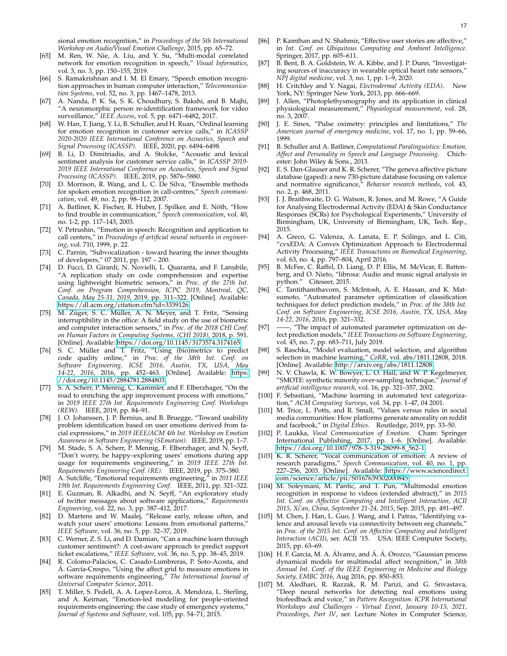- <span id="page-16-0"></span>[65] M. Ren, W. Nie, A. Liu, and Y. Su, "Multi-modal correlated network for emotion recognition in speech," *Visual Informatics*, vol. 3, no. 3, pp. 150–155, 2019.
- <span id="page-16-1"></span>[66] S. Ramakrishnan and I. M. El Emary, "Speech emotion recognition approaches in human computer interaction," *Telecommunication Systems*, vol. 52, no. 3, pp. 1467–1478, 2013.
- <span id="page-16-2"></span>[67] A. Nanda, P. K. Sa, S. K. Choudhury, S. Bakshi, and B. Majhi, "A neuromorphic person re-identification framework for video surveillance," *IEEE Access*, vol. 5, pp. 6471–6482, 2017.
- <span id="page-16-3"></span>[68] W. Han, T. Jiang, Y. Li, B. Schuller, and H. Ruan, "Ordinal learning for emotion recognition in customer service calls," in *ICASS 2020-2020 IEEE International Conference on Acoustics, Speech and Signal Processing (ICASSP)*. IEEE, 2020, pp. 6494–6498.
- <span id="page-16-4"></span>[69] B. Li, D. Dimitriadis, and A. Stolcke, "Acoustic and lexical sentiment analysis for customer service calls," in *ICASSP 2019- 2019 IEEE International Conference on Acoustics, Speech and Signal Processing (ICASSP)*. IEEE, 2019, pp. 5876–5880.
- <span id="page-16-5"></span>[70] D. Morrison, R. Wang, and L. C. De Silva, "Ensemble methods for spoken emotion recognition in call-centres," *Speech communication*, vol. 49, no. 2, pp. 98–112, 2007.
- <span id="page-16-6"></span>[71] A. Batliner, K. Fischer, R. Huber, J. Spilker, and E. Nöth, "How to find trouble in communication," *Speech communication*, vol. 40, no. 1-2, pp. 117–143, 2003.
- <span id="page-16-7"></span>[72] V. Petrushin, "Emotion in speech: Recognition and application to call centers," in *Proceedings of artificial neural networks in engineering*, vol. 710, 1999, p. 22.
- <span id="page-16-8"></span>[73] C. Parnin, "Subvocalization - toward hearing the inner thoughts of developers," 07 2011, pp. 197 – 200.
- <span id="page-16-9"></span>[74] D. Fucci, D. Girardi, N. Novielli, L. Quaranta, and F. Lanubile, "A replication study on code comprehension and expertise using lightweight biometric sensors," in *Proc. of the 27th Int. Conf. on Program Comprehension, ICPC 2019, Montreal, QC, Canada, May 25-31, 2019*, 2019, pp. 311–322. [Online]. Available: <https://dl.acm.org/citation.cfm?id=3339126>
- <span id="page-16-10"></span>[75] M. Züger, S. C. Müller, A. N. Meyer, and T. Fritz, "Sensing interruptibility in the office: A field study on the use of biometric and computer interaction sensors," in *Proc. of the 2018 CHI Conf. on Human Factors in Computing Systems, (CHI 2018)*, 2018, p. 591. [Online]. Available:<https://doi.org/10.1145/3173574.3174165>
- <span id="page-16-11"></span>[76] S. C. Müller and T. Fritz, "Using (bio)metrics to predict code quality online," in *Proc. of the 38th Int. Conf. on Software Engineering, ICSE 2016, Austin, TX, USA, May 14-22, 2016*, 2016, pp. 452–463. [Online]. Available: [https:](https://doi.org/10.1145/2884781.2884803) [//doi.org/10.1145/2884781.2884803](https://doi.org/10.1145/2884781.2884803)
- <span id="page-16-12"></span>[77] S. A. Scherr, P. Mennig, C. Kammler, and F. Elberzhager, "On the road to enriching the app improvement process with emotions," in *2019 IEEE 27th Int. Requirements Engineering Conf. Workshops (REW)*. IEEE, 2019, pp. 84–91.
- <span id="page-16-13"></span>[78] J. O. Johanssen, J. P. Bernius, and B. Bruegge, "Toward usability problem identification based on user emotions derived from facial expressions," in *2019 IEEE/ACM 4th Int. Workshop on Emotion Awareness in Software Engineering (SEmotion)*. IEEE, 2019, pp. 1–7.
- <span id="page-16-14"></span>[79] M. Stade, S. A. Scherr, P. Mennig, F. Elberzhager, and N. Seyff, "Don't worry, be happy–exploring users' emotions during app usage for requirements engineering," in *2019 IEEE 27th Int. Requirements Engineering Conf. (RE)*. IEEE, 2019, pp. 375–380.
- <span id="page-16-15"></span>[80] A. Sutcliffe, "Emotional requirements engineering," in *2011 IEEE 19th Int. Requirements Engineering Conf.* IEEE, 2011, pp. 321–322.
- <span id="page-16-16"></span>[81] E. Guzman, R. Alkadhi, and N. Seyff, "An exploratory study of twitter messages about software applications," *Requirements Engineering*, vol. 22, no. 3, pp. 387–412, 2017.
- <span id="page-16-17"></span>[82] D. Martens and W. Maalej, "Release early, release often, and watch your users' emotions: Lessons from emotional patterns," *IEEE Software*, vol. 36, no. 5, pp. 32–37, 2019.
- <span id="page-16-18"></span>[83] C. Werner, Z. S. Li, and D. Damian, "Can a machine learn through customer sentiment?: A cost-aware approach to predict support ticket escalations," *IEEE Software*, vol. 36, no. 5, pp. 38–45, 2019.
- <span id="page-16-19"></span>[84] R. Colomo-Palacios, C. Casado-Lumbreras, P. Soto-Acosta, and Á. García-Crespo, "Using the affect grid to measure emotions in software requirements engineering," *The International Journal of Universal Computer Science*, 2011.
- <span id="page-16-20"></span>[85] T. Miller, S. Pedell, A. A. Lopez-Lorca, A. Mendoza, L. Sterling, and A. Keirnan, "Emotion-led modelling for people-oriented requirements engineering: the case study of emergency systems," *Journal of Systems and Software*, vol. 105, pp. 54–71, 2015.
- <span id="page-16-21"></span>[86] P. Kamthan and N. Shahmir, "Effective user stories are affective," in *Int. Conf. on Ubiquitous Computing and Ambient Intelligence*. Springer, 2017, pp. 605–611.
- <span id="page-16-22"></span>[87] B. Bent, B. A. Goldstein, W. A. Kibbe, and J. P. Dunn, "Investigating sources of inaccuracy in wearable optical heart rate sensors," *NPJ digital medicine*, vol. 3, no. 1, pp. 1–9, 2020.
- <span id="page-16-23"></span>[88] H. Critchley and Y. Nagai, *Electrodermal Activity (EDA)*. New York, NY: Springer New York, 2013, pp. 666–669.
- <span id="page-16-24"></span>[89] J. Allen, "Photoplethysmography and its application in clinical physiological measurement," *Physiological measurement*, vol. 28, no. 3, 2007.
- <span id="page-16-25"></span>[90] J. E. Sinex, "Pulse oximetry: principles and limitations," *The American journal of emergency medicine*, vol. 17, no. 1, pp. 59–66, 1999.
- <span id="page-16-26"></span>[91] B. Schuller and A. Batliner, *Computational Paralinguistics: Emotion, Affect and Personality in Speech and Language Processing*. Chichester: John Wiley & Sons., 2013.
- <span id="page-16-27"></span>[92] E. S. Dan-Glauser and K. R. Scherer, "The geneva affective picture database (gaped): a new 730-picture database focusing on valence and normative significance," *Behavior research methods*, vol. 43, no. 2, p. 468, 2011.
- <span id="page-16-28"></span>[93] J. J. Braithwaite, D. G. Watson, R. Jones, and M. Rowe, "A Guide for Analysing Electrodermal Activity (EDA) & Skin Conductance Responses (SCRs) for Psychological Experiments," University of Birmingham, UK, University of Birmingham, UK, Tech. Rep., 2015.
- <span id="page-16-29"></span>[94] A. Greco, G. Valenza, A. Lanata, E. P. Scilingo, and L. Citi, "cvxEDA: A Convex Optimization Approach to Electrodermal Activity Processing," *IEEE Transactions on Biomedical Engineering*, vol. 63, no. 4, pp. 797–804, April 2016.
- <span id="page-16-30"></span>[95] B. McFee, C. Raffel, D. Liang, D. P. Ellis, M. McVicar, E. Battenberg, and O. Nieto, "librosa: Audio and music signal analysis in python." Citeseer, 2015.
- <span id="page-16-31"></span>[96] C. Tantithamthavorn, S. McIntosh, A. E. Hassan, and K. Matsumoto, "Automated parameter optimization of classification techniques for defect prediction models," in *Proc. of the 38th Int. Conf. on Software Engineering, ICSE 2016, Austin, TX, USA, May 14-22, 2016*, 2016, pp. 321–332.
- <span id="page-16-32"></span>[97] -, "The impact of automated parameter optimization on defect prediction models," *IEEE Transactions on Software Engineering*, vol. 45, no. 7, pp. 683–711, July 2019.
- <span id="page-16-33"></span>[98] S. Raschka, "Model evaluation, model selection, and algorithm selection in machine learning," *CoRR*, vol. abs/1811.12808, 2018. [Online]. Available:<http://arxiv.org/abs/1811.12808>
- <span id="page-16-34"></span>[99] N. V. Chawla, K. W. Bowyer, L. O. Hall, and W. P. Kegelmeyer, "SMOTE: synthetic minority over-sampling technique," *Journal of artificial intelligence research*, vol. 16, pp. 321–357, 2002.
- <span id="page-16-35"></span>[100] F. Sebastiani, "Machine learning in automated text categorization," *ACM Computing Surveys*, vol. 34, pp. 1–47, 04 2001.
- <span id="page-16-36"></span>[101] M. Trice, L. Potts, and R. Small, "Values versus rules in social media communities: How platforms generate amorality on reddit and facebook," in *Digital Ethics*. Routledge, 2019, pp. 33–50.
- <span id="page-16-37"></span>[102] P. Laukka, *Vocal Communication of Emotion*. Cham: Springer International Publishing, 2017, pp. 1–6. [Online]. Available: [https://doi.org/10.1007/978-3-319-28099-8](https://doi.org/10.1007/978-3-319-28099-8_562-1) 562-1
- <span id="page-16-38"></span>[103] K. R. Scherer, "Vocal communication of emotion: A review of research paradigms," *Speech Communication*, vol. 40, no. 1, pp. 227–256, 2003. [Online]. Available: [https://www.sciencedirect.](https://www.sciencedirect.com/science/article/pii/S0167639302000845) [com/science/article/pii/S0167639302000845](https://www.sciencedirect.com/science/article/pii/S0167639302000845)
- <span id="page-16-39"></span>[104] M. Soleymani, M. Pantic, and T. Pun, "Multimodal emotion recognition in response to videos (extended abstract)," in *2015 Int. Conf. on Affective Computing and Intelligent Interaction, ACII 2015, Xi'an, China, September 21-24, 2015*, Sep. 2015, pp. 491–497.
- <span id="page-16-40"></span>[105] M. Chen, J. Han, L. Guo, J. Wang, and I. Patras, "Identifying valence and arousal levels via connectivity between eeg channels," in *Proc. of the 2015 Int. Conf. on Affective Computing and Intelligent Interaction (ACII)*, ser. ACII '15. USA: IEEE Computer Society, 2015, pp. 63–69.
- <span id="page-16-41"></span>[106] H. F. García, M. A. Álvarez, and Á. Á. Orozco, "Gaussian process dynamical models for multimodal affect recognition," in *38th Annual Int. Conf. of the IEEE Engineering in Medicine and Biology Society, EMBC 2016*, Aug 2016, pp. 850–853.
- <span id="page-16-42"></span>[107] M. Aledhari, R. Razzak, R. M. Parizi, and G. Srivastava, "Deep neural networks for detecting real emotions using biofeedback and voice," in *Pattern Recognition. ICPR International Workshops and Challenges - Virtual Event, January 10-15, 2021, Proceedings, Part IV*, ser. Lecture Notes in Computer Science,